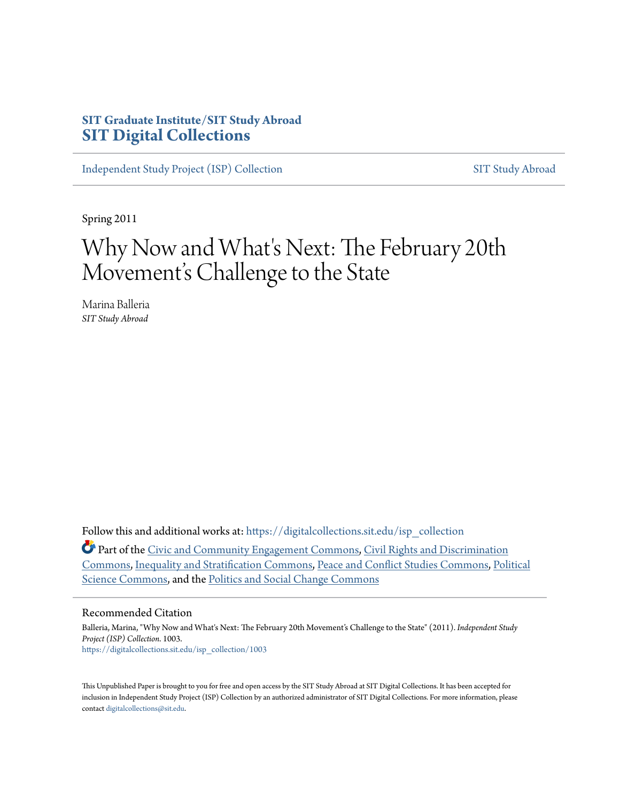# **SIT Graduate Institute/SIT Study Abroad [SIT Digital Collections](https://digitalcollections.sit.edu?utm_source=digitalcollections.sit.edu%2Fisp_collection%2F1003&utm_medium=PDF&utm_campaign=PDFCoverPages)**

[Independent Study Project \(ISP\) Collection](https://digitalcollections.sit.edu/isp_collection?utm_source=digitalcollections.sit.edu%2Fisp_collection%2F1003&utm_medium=PDF&utm_campaign=PDFCoverPages) [SIT Study Abroad](https://digitalcollections.sit.edu/study_abroad?utm_source=digitalcollections.sit.edu%2Fisp_collection%2F1003&utm_medium=PDF&utm_campaign=PDFCoverPages)

Spring 2011

# Why Now and What's Next: The February 20th Movement's Challenge to the State

Marina Balleria *SIT Study Abroad*

Follow this and additional works at: [https://digitalcollections.sit.edu/isp\\_collection](https://digitalcollections.sit.edu/isp_collection?utm_source=digitalcollections.sit.edu%2Fisp_collection%2F1003&utm_medium=PDF&utm_campaign=PDFCoverPages)

Part of the [Civic and Community Engagement Commons,](http://network.bepress.com/hgg/discipline/1028?utm_source=digitalcollections.sit.edu%2Fisp_collection%2F1003&utm_medium=PDF&utm_campaign=PDFCoverPages) [Civil Rights and Discrimination](http://network.bepress.com/hgg/discipline/585?utm_source=digitalcollections.sit.edu%2Fisp_collection%2F1003&utm_medium=PDF&utm_campaign=PDFCoverPages) [Commons,](http://network.bepress.com/hgg/discipline/585?utm_source=digitalcollections.sit.edu%2Fisp_collection%2F1003&utm_medium=PDF&utm_campaign=PDFCoverPages) [Inequality and Stratification Commons,](http://network.bepress.com/hgg/discipline/421?utm_source=digitalcollections.sit.edu%2Fisp_collection%2F1003&utm_medium=PDF&utm_campaign=PDFCoverPages) [Peace and Conflict Studies Commons,](http://network.bepress.com/hgg/discipline/397?utm_source=digitalcollections.sit.edu%2Fisp_collection%2F1003&utm_medium=PDF&utm_campaign=PDFCoverPages) [Political](http://network.bepress.com/hgg/discipline/386?utm_source=digitalcollections.sit.edu%2Fisp_collection%2F1003&utm_medium=PDF&utm_campaign=PDFCoverPages) [Science Commons](http://network.bepress.com/hgg/discipline/386?utm_source=digitalcollections.sit.edu%2Fisp_collection%2F1003&utm_medium=PDF&utm_campaign=PDFCoverPages), and the [Politics and Social Change Commons](http://network.bepress.com/hgg/discipline/425?utm_source=digitalcollections.sit.edu%2Fisp_collection%2F1003&utm_medium=PDF&utm_campaign=PDFCoverPages)

#### Recommended Citation

Balleria, Marina, "Why Now and What's Next: The February 20th Movement's Challenge to the State" (2011). *Independent Study Project (ISP) Collection*. 1003. [https://digitalcollections.sit.edu/isp\\_collection/1003](https://digitalcollections.sit.edu/isp_collection/1003?utm_source=digitalcollections.sit.edu%2Fisp_collection%2F1003&utm_medium=PDF&utm_campaign=PDFCoverPages)

This Unpublished Paper is brought to you for free and open access by the SIT Study Abroad at SIT Digital Collections. It has been accepted for inclusion in Independent Study Project (ISP) Collection by an authorized administrator of SIT Digital Collections. For more information, please contact [digitalcollections@sit.edu](mailto:digitalcollections@sit.edu).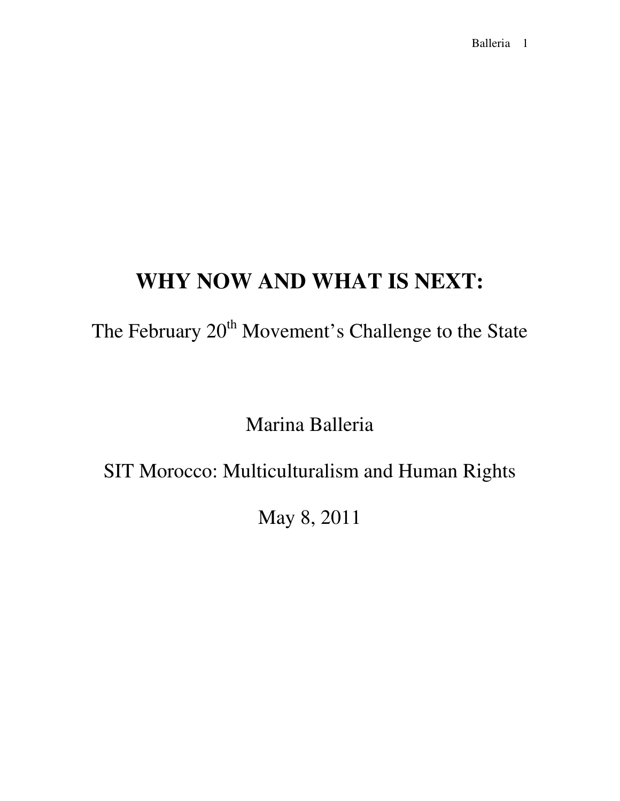# **WHY NOW AND WHAT IS NEXT:**

The February 20<sup>th</sup> Movement's Challenge to the State

Marina Balleria

SIT Morocco: Multiculturalism and Human Rights

May 8, 2011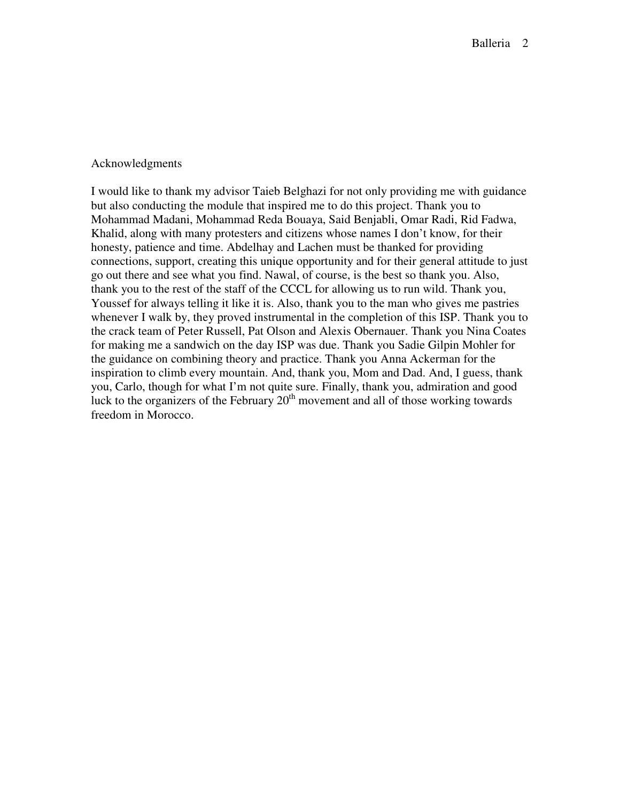#### Acknowledgments

I would like to thank my advisor Taieb Belghazi for not only providing me with guidance but also conducting the module that inspired me to do this project. Thank you to Mohammad Madani, Mohammad Reda Bouaya, Said Benjabli, Omar Radi, Rid Fadwa, Khalid, along with many protesters and citizens whose names I don't know, for their honesty, patience and time. Abdelhay and Lachen must be thanked for providing connections, support, creating this unique opportunity and for their general attitude to just go out there and see what you find. Nawal, of course, is the best so thank you. Also, thank you to the rest of the staff of the CCCL for allowing us to run wild. Thank you, Youssef for always telling it like it is. Also, thank you to the man who gives me pastries whenever I walk by, they proved instrumental in the completion of this ISP. Thank you to the crack team of Peter Russell, Pat Olson and Alexis Obernauer. Thank you Nina Coates for making me a sandwich on the day ISP was due. Thank you Sadie Gilpin Mohler for the guidance on combining theory and practice. Thank you Anna Ackerman for the inspiration to climb every mountain. And, thank you, Mom and Dad. And, I guess, thank you, Carlo, though for what I'm not quite sure. Finally, thank you, admiration and good luck to the organizers of the February  $20<sup>th</sup>$  movement and all of those working towards freedom in Morocco.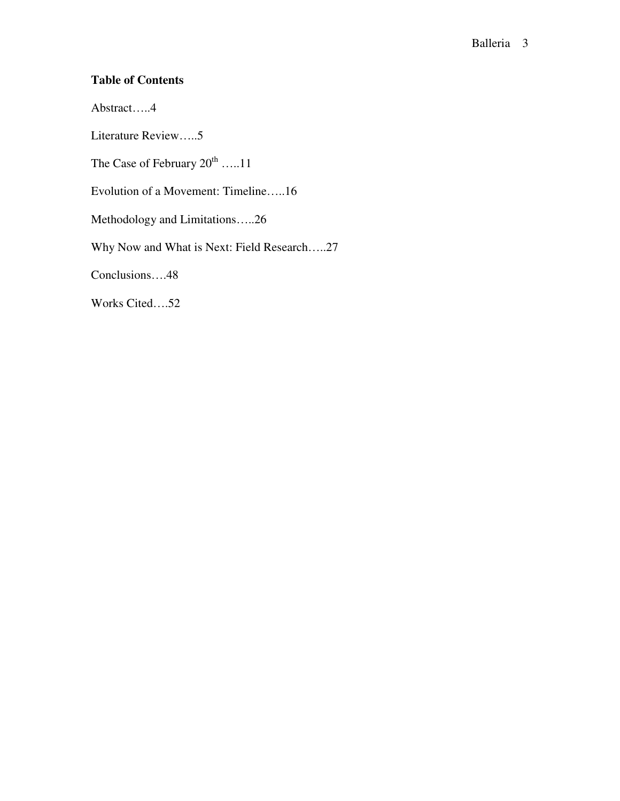# **Table of Contents**

Abstract…..4

Literature Review…..5

The Case of February  $20^{\text{th}}$  …..11

Evolution of a Movement: Timeline…..16

Methodology and Limitations…..26

Why Now and What is Next: Field Research…..27

Conclusions….48

Works Cited….52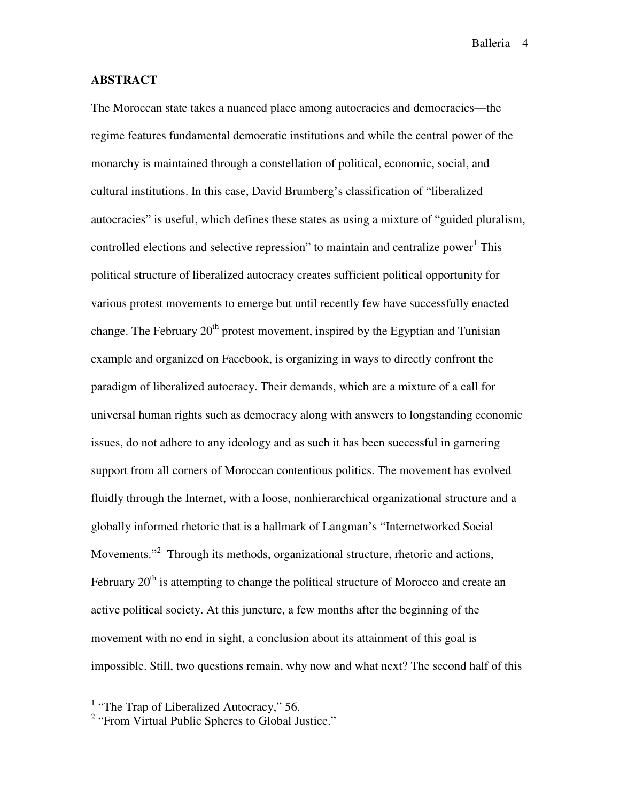#### **ABSTRACT**

The Moroccan state takes a nuanced place among autocracies and democracies—the regime features fundamental democratic institutions and while the central power of the monarchy is maintained through a constellation of political, economic, social, and cultural institutions. In this case, David Brumberg's classification of "liberalized autocracies" is useful, which defines these states as using a mixture of "guided pluralism, controlled elections and selective repression" to maintain and centralize power<sup>1</sup> This political structure of liberalized autocracy creates sufficient political opportunity for various protest movements to emerge but until recently few have successfully enacted change. The February  $20<sup>th</sup>$  protest movement, inspired by the Egyptian and Tunisian example and organized on Facebook, is organizing in ways to directly confront the paradigm of liberalized autocracy. Their demands, which are a mixture of a call for universal human rights such as democracy along with answers to longstanding economic issues, do not adhere to any ideology and as such it has been successful in garnering support from all corners of Moroccan contentious politics. The movement has evolved fluidly through the Internet, with a loose, nonhierarchical organizational structure and a globally informed rhetoric that is a hallmark of Langman's "Internetworked Social Movements."<sup>2</sup> Through its methods, organizational structure, rhetoric and actions, February  $20<sup>th</sup>$  is attempting to change the political structure of Morocco and create an active political society. At this juncture, a few months after the beginning of the movement with no end in sight, a conclusion about its attainment of this goal is impossible. Still, two questions remain, why now and what next? The second half of this

l.

<sup>&</sup>lt;sup>1</sup> "The Trap of Liberalized Autocracy," 56.

<sup>&</sup>lt;sup>2</sup> "From Virtual Public Spheres to Global Justice."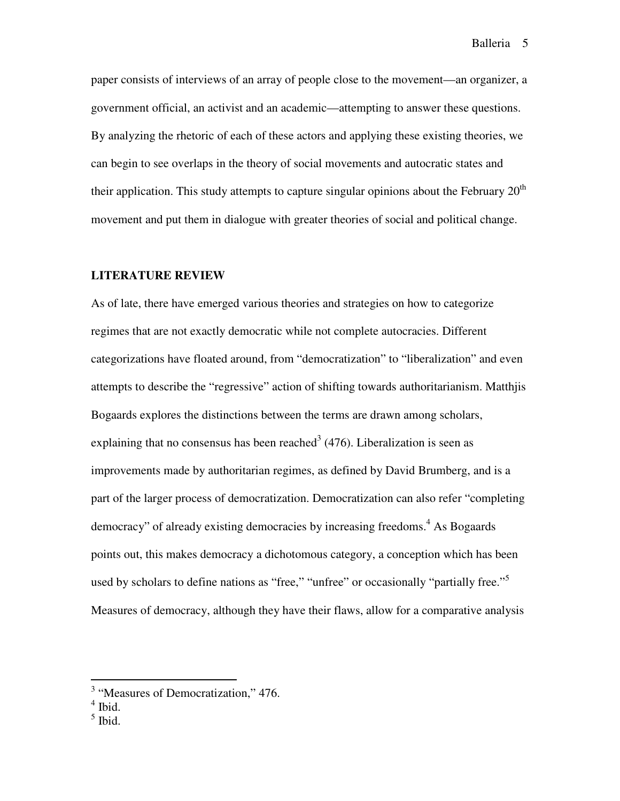paper consists of interviews of an array of people close to the movement—an organizer, a government official, an activist and an academic—attempting to answer these questions. By analyzing the rhetoric of each of these actors and applying these existing theories, we can begin to see overlaps in the theory of social movements and autocratic states and their application. This study attempts to capture singular opinions about the February  $20<sup>th</sup>$ movement and put them in dialogue with greater theories of social and political change.

#### **LITERATURE REVIEW**

As of late, there have emerged various theories and strategies on how to categorize regimes that are not exactly democratic while not complete autocracies. Different categorizations have floated around, from "democratization" to "liberalization" and even attempts to describe the "regressive" action of shifting towards authoritarianism. Matthjis Bogaards explores the distinctions between the terms are drawn among scholars, explaining that no consensus has been reached<sup>3</sup> (476). Liberalization is seen as improvements made by authoritarian regimes, as defined by David Brumberg, and is a part of the larger process of democratization. Democratization can also refer "completing democracy" of already existing democracies by increasing freedoms.<sup>4</sup> As Bogaards points out, this makes democracy a dichotomous category, a conception which has been used by scholars to define nations as "free," "unfree" or occasionally "partially free."<sup>5</sup> Measures of democracy, although they have their flaws, allow for a comparative analysis

<sup>&</sup>lt;sup>3</sup> "Measures of Democratization," 476.

<sup>4</sup> Ibid.

 $<sup>5</sup>$  Ibid.</sup>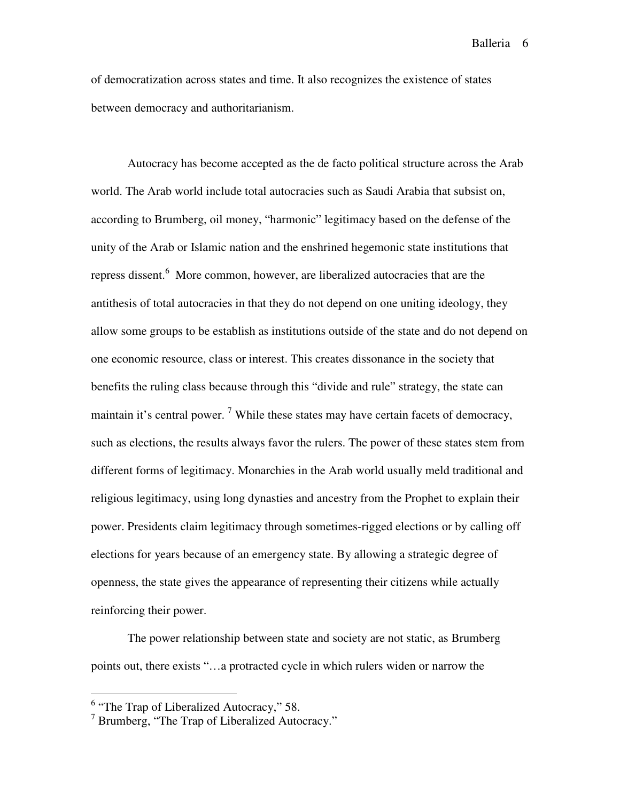of democratization across states and time. It also recognizes the existence of states between democracy and authoritarianism.

Autocracy has become accepted as the de facto political structure across the Arab world. The Arab world include total autocracies such as Saudi Arabia that subsist on, according to Brumberg, oil money, "harmonic" legitimacy based on the defense of the unity of the Arab or Islamic nation and the enshrined hegemonic state institutions that repress dissent.<sup>6</sup> More common, however, are liberalized autocracies that are the antithesis of total autocracies in that they do not depend on one uniting ideology, they allow some groups to be establish as institutions outside of the state and do not depend on one economic resource, class or interest. This creates dissonance in the society that benefits the ruling class because through this "divide and rule" strategy, the state can maintain it's central power.<sup>7</sup> While these states may have certain facets of democracy, such as elections, the results always favor the rulers. The power of these states stem from different forms of legitimacy. Monarchies in the Arab world usually meld traditional and religious legitimacy, using long dynasties and ancestry from the Prophet to explain their power. Presidents claim legitimacy through sometimes-rigged elections or by calling off elections for years because of an emergency state. By allowing a strategic degree of openness, the state gives the appearance of representing their citizens while actually reinforcing their power.

The power relationship between state and society are not static, as Brumberg points out, there exists "…a protracted cycle in which rulers widen or narrow the

l.

<sup>&</sup>lt;sup>6</sup> "The Trap of Liberalized Autocracy," 58.

<sup>&</sup>lt;sup>7</sup> Brumberg, "The Trap of Liberalized Autocracy."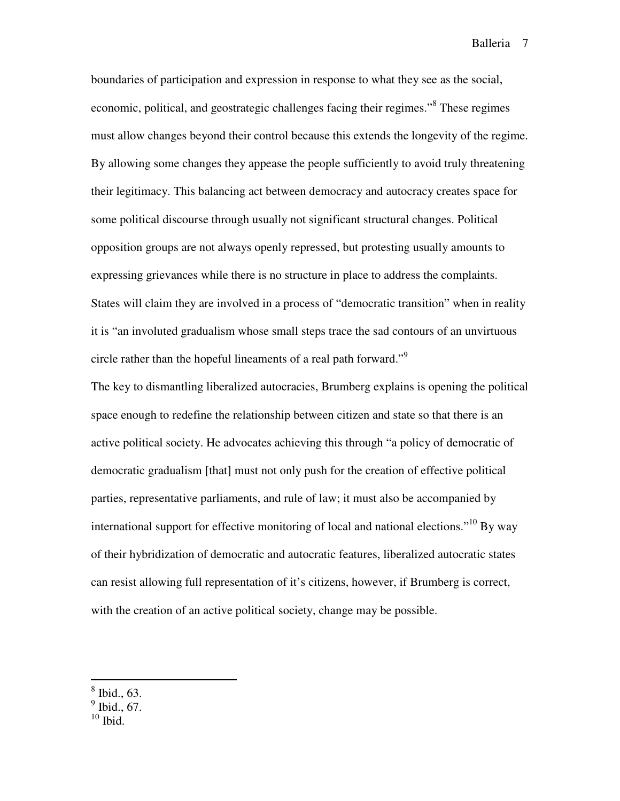boundaries of participation and expression in response to what they see as the social, economic, political, and geostrategic challenges facing their regimes."<sup>8</sup> These regimes must allow changes beyond their control because this extends the longevity of the regime. By allowing some changes they appease the people sufficiently to avoid truly threatening their legitimacy. This balancing act between democracy and autocracy creates space for some political discourse through usually not significant structural changes. Political opposition groups are not always openly repressed, but protesting usually amounts to expressing grievances while there is no structure in place to address the complaints. States will claim they are involved in a process of "democratic transition" when in reality it is "an involuted gradualism whose small steps trace the sad contours of an unvirtuous circle rather than the hopeful lineaments of a real path forward."<sup>9</sup>

The key to dismantling liberalized autocracies, Brumberg explains is opening the political space enough to redefine the relationship between citizen and state so that there is an active political society. He advocates achieving this through "a policy of democratic of democratic gradualism [that] must not only push for the creation of effective political parties, representative parliaments, and rule of law; it must also be accompanied by international support for effective monitoring of local and national elections."<sup>10</sup> By way of their hybridization of democratic and autocratic features, liberalized autocratic states can resist allowing full representation of it's citizens, however, if Brumberg is correct, with the creation of an active political society, change may be possible.

 $10$  Ibid.

<sup>8</sup> Ibid., 63.

 $<sup>9</sup>$  Ibid., 67.</sup>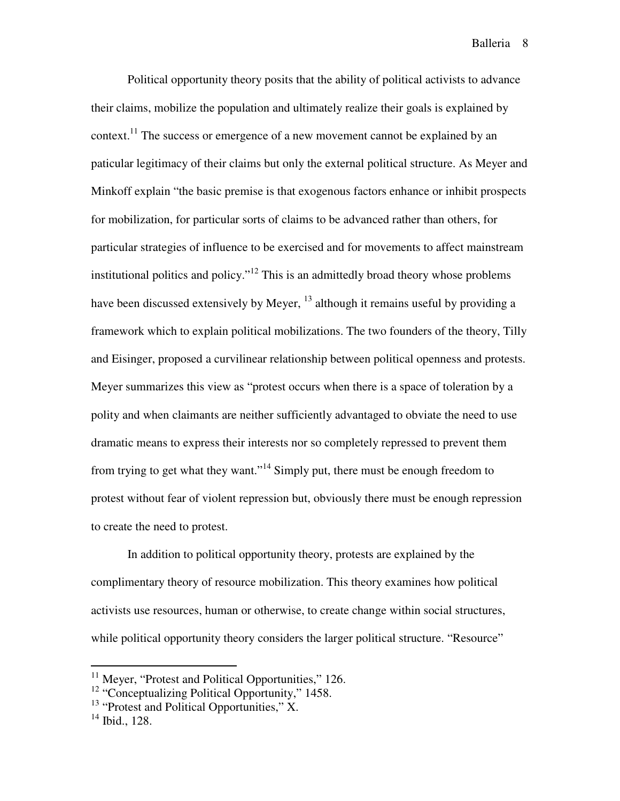Political opportunity theory posits that the ability of political activists to advance their claims, mobilize the population and ultimately realize their goals is explained by context.<sup>11</sup> The success or emergence of a new movement cannot be explained by an paticular legitimacy of their claims but only the external political structure. As Meyer and Minkoff explain "the basic premise is that exogenous factors enhance or inhibit prospects for mobilization, for particular sorts of claims to be advanced rather than others, for particular strategies of influence to be exercised and for movements to affect mainstream institutional politics and policy."<sup>12</sup> This is an admittedly broad theory whose problems have been discussed extensively by Meyer,  $^{13}$  although it remains useful by providing a framework which to explain political mobilizations. The two founders of the theory, Tilly and Eisinger, proposed a curvilinear relationship between political openness and protests. Meyer summarizes this view as "protest occurs when there is a space of toleration by a polity and when claimants are neither sufficiently advantaged to obviate the need to use dramatic means to express their interests nor so completely repressed to prevent them from trying to get what they want."<sup>14</sup> Simply put, there must be enough freedom to protest without fear of violent repression but, obviously there must be enough repression to create the need to protest.

In addition to political opportunity theory, protests are explained by the complimentary theory of resource mobilization. This theory examines how political activists use resources, human or otherwise, to create change within social structures, while political opportunity theory considers the larger political structure. "Resource"

<sup>&</sup>lt;sup>11</sup> Meyer, "Protest and Political Opportunities," 126.

<sup>&</sup>lt;sup>12</sup> "Conceptualizing Political Opportunity," 1458.

<sup>&</sup>lt;sup>13</sup> "Protest and Political Opportunities," X.

 $14$  Ibid., 128.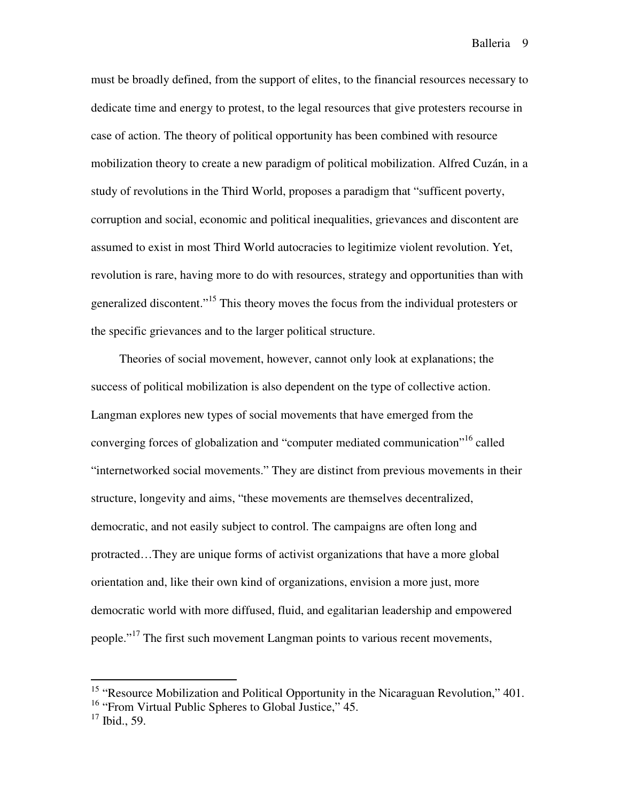must be broadly defined, from the support of elites, to the financial resources necessary to dedicate time and energy to protest, to the legal resources that give protesters recourse in case of action. The theory of political opportunity has been combined with resource mobilization theory to create a new paradigm of political mobilization. Alfred Cuzán, in a study of revolutions in the Third World, proposes a paradigm that "sufficent poverty, corruption and social, economic and political inequalities, grievances and discontent are assumed to exist in most Third World autocracies to legitimize violent revolution. Yet, revolution is rare, having more to do with resources, strategy and opportunities than with generalized discontent."<sup>15</sup> This theory moves the focus from the individual protesters or the specific grievances and to the larger political structure.

 Theories of social movement, however, cannot only look at explanations; the success of political mobilization is also dependent on the type of collective action. Langman explores new types of social movements that have emerged from the converging forces of globalization and "computer mediated communication"<sup>16</sup> called "internetworked social movements." They are distinct from previous movements in their structure, longevity and aims, "these movements are themselves decentralized, democratic, and not easily subject to control. The campaigns are often long and protracted…They are unique forms of activist organizations that have a more global orientation and, like their own kind of organizations, envision a more just, more democratic world with more diffused, fluid, and egalitarian leadership and empowered people."<sup>17</sup> The first such movement Langman points to various recent movements,

<sup>&</sup>lt;sup>15</sup> "Resource Mobilization and Political Opportunity in the Nicaraguan Revolution," 401.

<sup>&</sup>lt;sup>16</sup> "From Virtual Public Spheres to Global Justice," 45.

 $17$  Ibid., 59.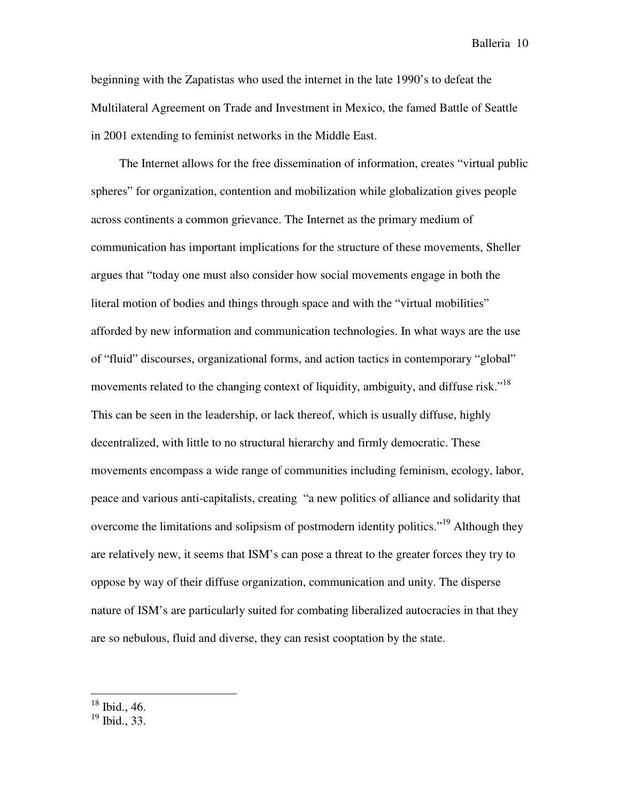beginning with the Zapatistas who used the internet in the late 1990's to defeat the Multilateral Agreement on Trade and Investment in Mexico, the famed Battle of Seattle in 2001 extending to feminist networks in the Middle East.

 The Internet allows for the free dissemination of information, creates "virtual public spheres" for organization, contention and mobilization while globalization gives people across continents a common grievance. The Internet as the primary medium of communication has important implications for the structure of these movements, Sheller argues that "today one must also consider how social movements engage in both the literal motion of bodies and things through space and with the "virtual mobilities" afforded by new information and communication technologies. In what ways are the use of "fluid" discourses, organizational forms, and action tactics in contemporary "global" movements related to the changing context of liquidity, ambiguity, and diffuse risk."<sup>18</sup> This can be seen in the leadership, or lack thereof, which is usually diffuse, highly decentralized, with little to no structural hierarchy and firmly democratic. These movements encompass a wide range of communities including feminism, ecology, labor, peace and various anti-capitalists, creating "a new politics of alliance and solidarity that overcome the limitations and solipsism of postmodern identity politics."<sup>19</sup> Although they are relatively new, it seems that ISM's can pose a threat to the greater forces they try to oppose by way of their diffuse organization, communication and unity. The disperse nature of ISM's are particularly suited for combating liberalized autocracies in that they are so nebulous, fluid and diverse, they can resist cooptation by the state.

l.

 $18$  Ibid., 46.

 $19$  Ibid., 33.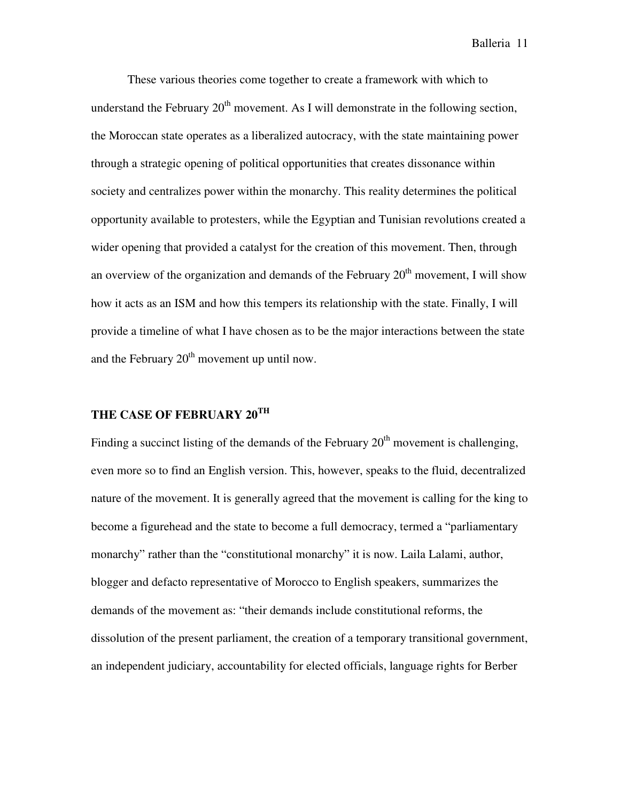These various theories come together to create a framework with which to understand the February  $20<sup>th</sup>$  movement. As I will demonstrate in the following section, the Moroccan state operates as a liberalized autocracy, with the state maintaining power through a strategic opening of political opportunities that creates dissonance within society and centralizes power within the monarchy. This reality determines the political opportunity available to protesters, while the Egyptian and Tunisian revolutions created a wider opening that provided a catalyst for the creation of this movement. Then, through an overview of the organization and demands of the February  $20<sup>th</sup>$  movement, I will show how it acts as an ISM and how this tempers its relationship with the state. Finally, I will provide a timeline of what I have chosen as to be the major interactions between the state and the February  $20<sup>th</sup>$  movement up until now.

### **THE CASE OF FEBRUARY 20TH**

Finding a succinct listing of the demands of the February  $20<sup>th</sup>$  movement is challenging, even more so to find an English version. This, however, speaks to the fluid, decentralized nature of the movement. It is generally agreed that the movement is calling for the king to become a figurehead and the state to become a full democracy, termed a "parliamentary monarchy" rather than the "constitutional monarchy" it is now. Laila Lalami, author, blogger and defacto representative of Morocco to English speakers, summarizes the demands of the movement as: "their demands include constitutional reforms, the dissolution of the present parliament, the creation of a temporary transitional government, an independent judiciary, accountability for elected officials, language rights for Berber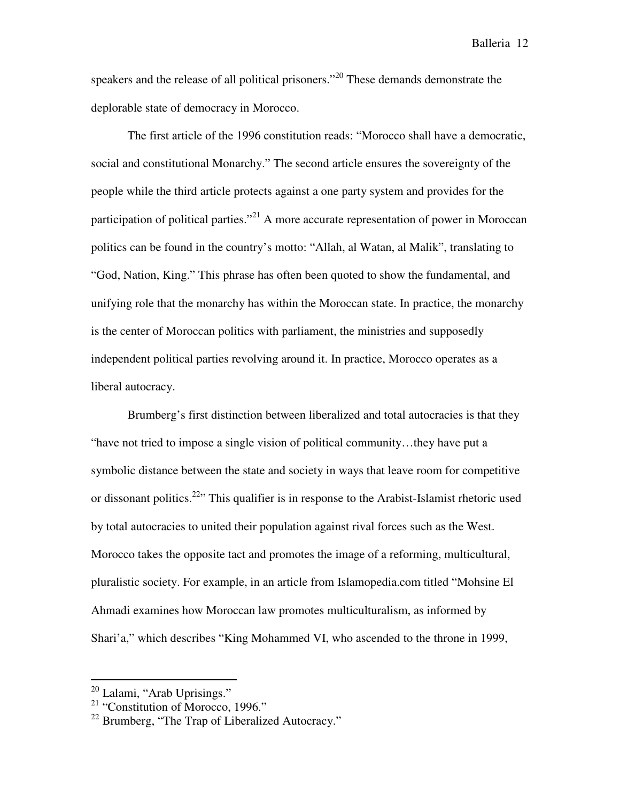speakers and the release of all political prisoners."<sup>20</sup> These demands demonstrate the deplorable state of democracy in Morocco.

 The first article of the 1996 constitution reads: "Morocco shall have a democratic, social and constitutional Monarchy." The second article ensures the sovereignty of the people while the third article protects against a one party system and provides for the participation of political parties."<sup>21</sup> A more accurate representation of power in Moroccan politics can be found in the country's motto: "Allah, al Watan, al Malik", translating to "God, Nation, King." This phrase has often been quoted to show the fundamental, and unifying role that the monarchy has within the Moroccan state. In practice, the monarchy is the center of Moroccan politics with parliament, the ministries and supposedly independent political parties revolving around it. In practice, Morocco operates as a liberal autocracy.

 Brumberg's first distinction between liberalized and total autocracies is that they "have not tried to impose a single vision of political community…they have put a symbolic distance between the state and society in ways that leave room for competitive or dissonant politics.<sup>22</sup>" This qualifier is in response to the Arabist-Islamist rhetoric used by total autocracies to united their population against rival forces such as the West. Morocco takes the opposite tact and promotes the image of a reforming, multicultural, pluralistic society. For example, in an article from Islamopedia.com titled "Mohsine El Ahmadi examines how Moroccan law promotes multiculturalism, as informed by Shari'a," which describes "King Mohammed VI, who ascended to the throne in 1999,

<sup>&</sup>lt;sup>20</sup> Lalami, "Arab Uprisings."

<sup>&</sup>lt;sup>21</sup> "Constitution of Morocco, 1996."

 $^{22}$  Brumberg, "The Trap of Liberalized Autocracy."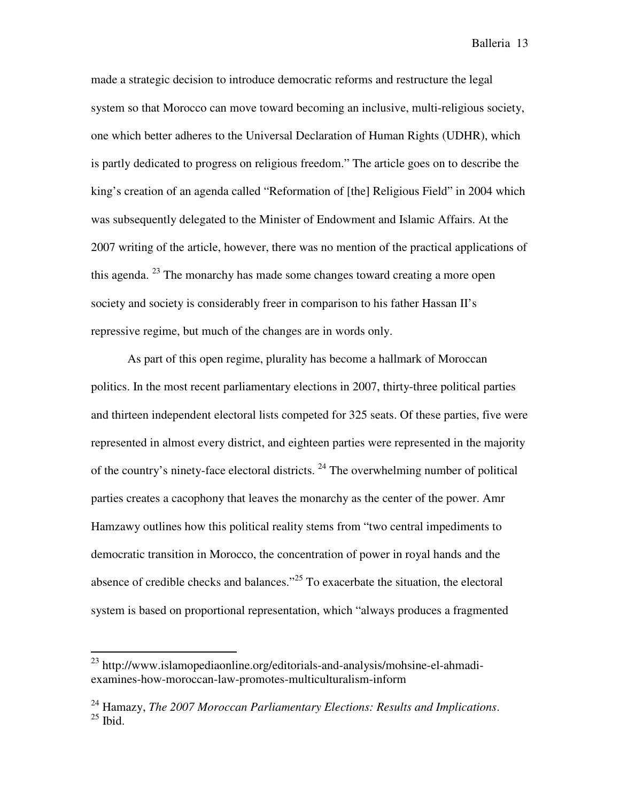made a strategic decision to introduce democratic reforms and restructure the legal system so that Morocco can move toward becoming an inclusive, multi-religious society, one which better adheres to the Universal Declaration of Human Rights (UDHR), which is partly dedicated to progress on religious freedom." The article goes on to describe the king's creation of an agenda called "Reformation of [the] Religious Field" in 2004 which was subsequently delegated to the Minister of Endowment and Islamic Affairs. At the 2007 writing of the article, however, there was no mention of the practical applications of this agenda. <sup>23</sup> The monarchy has made some changes toward creating a more open society and society is considerably freer in comparison to his father Hassan II's repressive regime, but much of the changes are in words only.

 As part of this open regime, plurality has become a hallmark of Moroccan politics. In the most recent parliamentary elections in 2007, thirty-three political parties and thirteen independent electoral lists competed for 325 seats. Of these parties, five were represented in almost every district, and eighteen parties were represented in the majority of the country's ninety-face electoral districts.  $^{24}$  The overwhelming number of political parties creates a cacophony that leaves the monarchy as the center of the power. Amr Hamzawy outlines how this political reality stems from "two central impediments to democratic transition in Morocco, the concentration of power in royal hands and the absence of credible checks and balances."<sup>25</sup> To exacerbate the situation, the electoral system is based on proportional representation, which "always produces a fragmented

l.

<sup>23</sup> http://www.islamopediaonline.org/editorials-and-analysis/mohsine-el-ahmadiexamines-how-moroccan-law-promotes-multiculturalism-inform

<sup>24</sup> Hamazy, *The 2007 Moroccan Parliamentary Elections: Results and Implications*.  $25$  Ibid.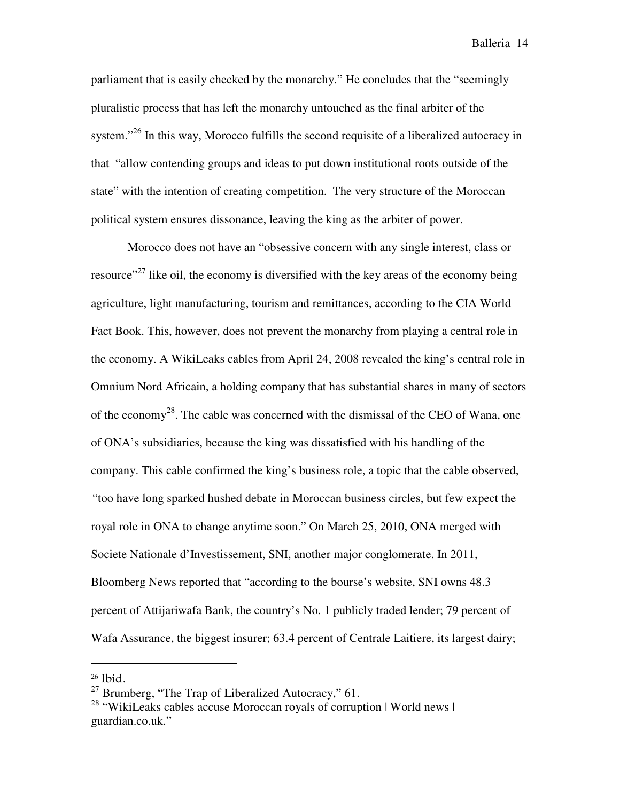parliament that is easily checked by the monarchy." He concludes that the "seemingly pluralistic process that has left the monarchy untouched as the final arbiter of the system."<sup>26</sup> In this way, Morocco fulfills the second requisite of a liberalized autocracy in that "allow contending groups and ideas to put down institutional roots outside of the state" with the intention of creating competition. The very structure of the Moroccan political system ensures dissonance, leaving the king as the arbiter of power.

 Morocco does not have an "obsessive concern with any single interest, class or resource"<sup>27</sup> like oil, the economy is diversified with the key areas of the economy being agriculture, light manufacturing, tourism and remittances, according to the CIA World Fact Book. This, however, does not prevent the monarchy from playing a central role in the economy. A WikiLeaks cables from April 24, 2008 revealed the king's central role in Omnium Nord Africain, a holding company that has substantial shares in many of sectors of the economy<sup>28</sup>. The cable was concerned with the dismissal of the CEO of Wana, one of ONA's subsidiaries, because the king was dissatisfied with his handling of the company. This cable confirmed the king's business role, a topic that the cable observed, *"*too have long sparked hushed debate in Moroccan business circles, but few expect the royal role in ONA to change anytime soon." On March 25, 2010, ONA merged with Societe Nationale d'Investissement, SNI, another major conglomerate. In 2011, Bloomberg News reported that "according to the bourse's website, SNI owns 48.3 percent of Attijariwafa Bank, the country's No. 1 publicly traded lender; 79 percent of Wafa Assurance, the biggest insurer; 63.4 percent of Centrale Laitiere, its largest dairy;

<sup>26</sup> Ibid.

 $^{27}$  Brumberg, "The Trap of Liberalized Autocracy," 61.

<sup>&</sup>lt;sup>28</sup> "WikiLeaks cables accuse Moroccan royals of corruption | World news | guardian.co.uk."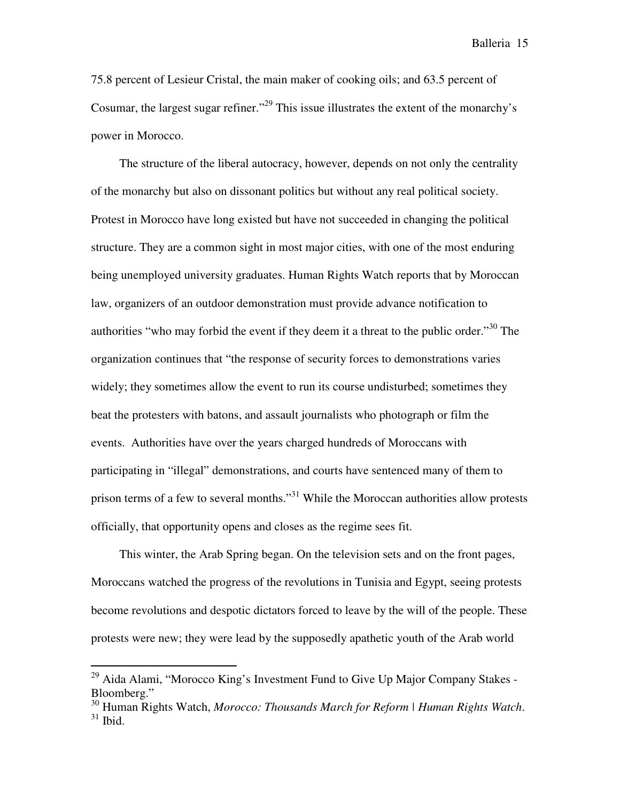75.8 percent of Lesieur Cristal, the main maker of cooking oils; and 63.5 percent of Cosumar, the largest sugar refiner."<sup>29</sup> This issue illustrates the extent of the monarchy's power in Morocco.

 The structure of the liberal autocracy, however, depends on not only the centrality of the monarchy but also on dissonant politics but without any real political society. Protest in Morocco have long existed but have not succeeded in changing the political structure. They are a common sight in most major cities, with one of the most enduring being unemployed university graduates. Human Rights Watch reports that by Moroccan law, organizers of an outdoor demonstration must provide advance notification to authorities "who may forbid the event if they deem it a threat to the public order."<sup>30</sup> The organization continues that "the response of security forces to demonstrations varies widely; they sometimes allow the event to run its course undisturbed; sometimes they beat the protesters with batons, and assault journalists who photograph or film the events. Authorities have over the years charged hundreds of Moroccans with participating in "illegal" demonstrations, and courts have sentenced many of them to prison terms of a few to several months."<sup>31</sup> While the Moroccan authorities allow protests officially, that opportunity opens and closes as the regime sees fit.

 This winter, the Arab Spring began. On the television sets and on the front pages, Moroccans watched the progress of the revolutions in Tunisia and Egypt, seeing protests become revolutions and despotic dictators forced to leave by the will of the people. These protests were new; they were lead by the supposedly apathetic youth of the Arab world

<sup>&</sup>lt;sup>29</sup> Aida Alami, "Morocco King's Investment Fund to Give Up Major Company Stakes -Bloomberg."

<sup>30</sup> Human Rights Watch, *Morocco: Thousands March for Reform | Human Rights Watch*.  $31$  Ibid.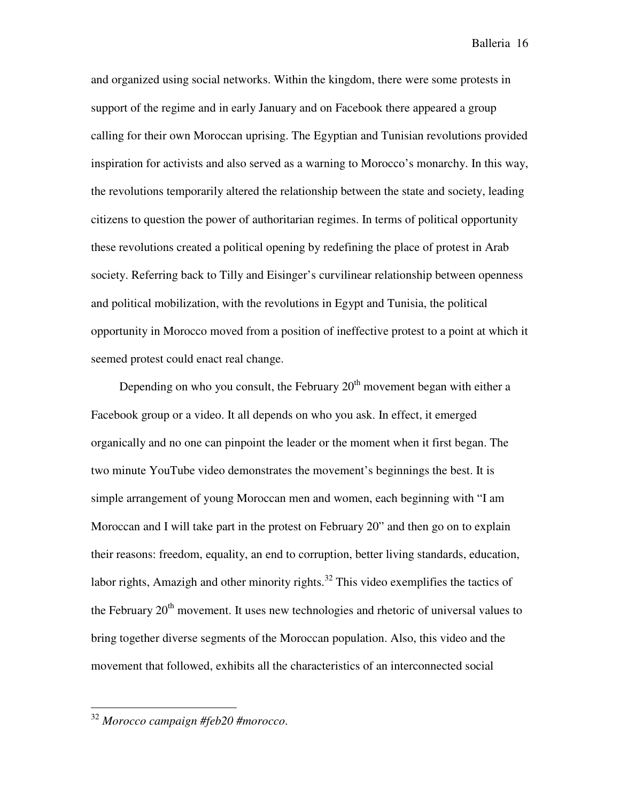and organized using social networks. Within the kingdom, there were some protests in support of the regime and in early January and on Facebook there appeared a group calling for their own Moroccan uprising. The Egyptian and Tunisian revolutions provided inspiration for activists and also served as a warning to Morocco's monarchy. In this way, the revolutions temporarily altered the relationship between the state and society, leading citizens to question the power of authoritarian regimes. In terms of political opportunity these revolutions created a political opening by redefining the place of protest in Arab society. Referring back to Tilly and Eisinger's curvilinear relationship between openness and political mobilization, with the revolutions in Egypt and Tunisia, the political opportunity in Morocco moved from a position of ineffective protest to a point at which it seemed protest could enact real change.

Depending on who you consult, the February  $20<sup>th</sup>$  movement began with either a Facebook group or a video. It all depends on who you ask. In effect, it emerged organically and no one can pinpoint the leader or the moment when it first began. The two minute YouTube video demonstrates the movement's beginnings the best. It is simple arrangement of young Moroccan men and women, each beginning with "I am Moroccan and I will take part in the protest on February 20" and then go on to explain their reasons: freedom, equality, an end to corruption, better living standards, education, labor rights, Amazigh and other minority rights.<sup>32</sup> This video exemplifies the tactics of the February  $20<sup>th</sup>$  movement. It uses new technologies and rhetoric of universal values to bring together diverse segments of the Moroccan population. Also, this video and the movement that followed, exhibits all the characteristics of an interconnected social

l.

<sup>32</sup> *Morocco campaign #feb20 #morocco*.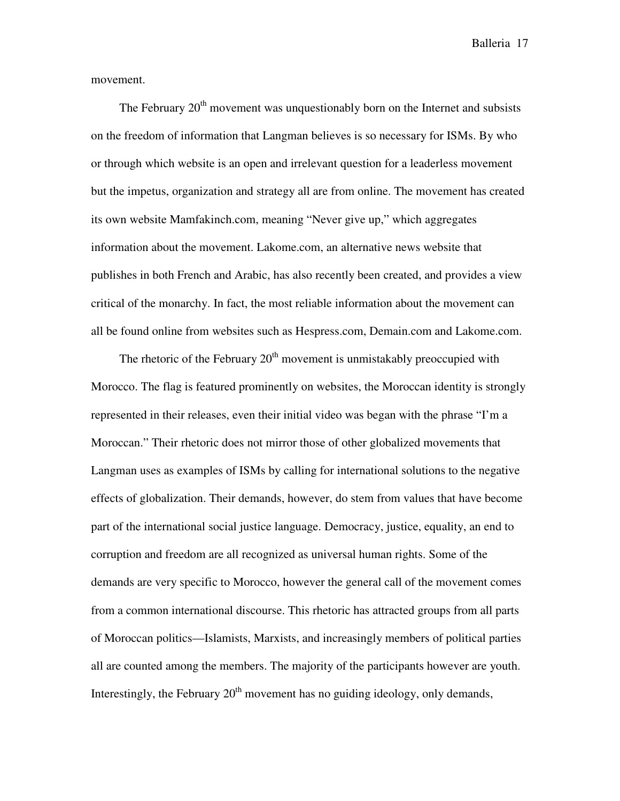movement.

The February  $20<sup>th</sup>$  movement was unquestionably born on the Internet and subsists on the freedom of information that Langman believes is so necessary for ISMs. By who or through which website is an open and irrelevant question for a leaderless movement but the impetus, organization and strategy all are from online. The movement has created its own website Mamfakinch.com, meaning "Never give up," which aggregates information about the movement. Lakome.com, an alternative news website that publishes in both French and Arabic, has also recently been created, and provides a view critical of the monarchy. In fact, the most reliable information about the movement can all be found online from websites such as Hespress.com, Demain.com and Lakome.com.

The rhetoric of the February  $20<sup>th</sup>$  movement is unmistakably preoccupied with Morocco. The flag is featured prominently on websites, the Moroccan identity is strongly represented in their releases, even their initial video was began with the phrase "I'm a Moroccan." Their rhetoric does not mirror those of other globalized movements that Langman uses as examples of ISMs by calling for international solutions to the negative effects of globalization. Their demands, however, do stem from values that have become part of the international social justice language. Democracy, justice, equality, an end to corruption and freedom are all recognized as universal human rights. Some of the demands are very specific to Morocco, however the general call of the movement comes from a common international discourse. This rhetoric has attracted groups from all parts of Moroccan politics—Islamists, Marxists, and increasingly members of political parties all are counted among the members. The majority of the participants however are youth. Interestingly, the February  $20<sup>th</sup>$  movement has no guiding ideology, only demands,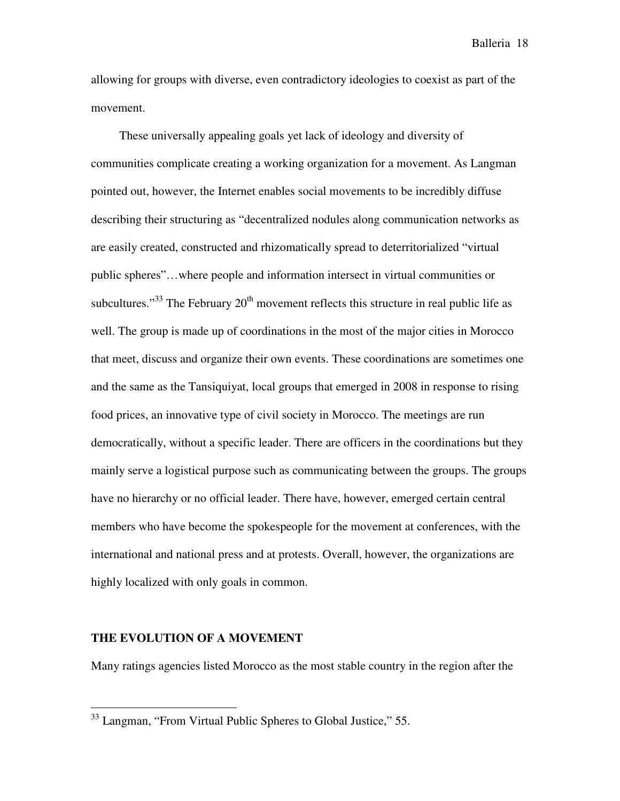allowing for groups with diverse, even contradictory ideologies to coexist as part of the movement.

 These universally appealing goals yet lack of ideology and diversity of communities complicate creating a working organization for a movement. As Langman pointed out, however, the Internet enables social movements to be incredibly diffuse describing their structuring as "decentralized nodules along communication networks as are easily created, constructed and rhizomatically spread to deterritorialized "virtual public spheres"…where people and information intersect in virtual communities or subcultures."<sup>33</sup> The February  $20<sup>th</sup>$  movement reflects this structure in real public life as well. The group is made up of coordinations in the most of the major cities in Morocco that meet, discuss and organize their own events. These coordinations are sometimes one and the same as the Tansiquiyat, local groups that emerged in 2008 in response to rising food prices, an innovative type of civil society in Morocco. The meetings are run democratically, without a specific leader. There are officers in the coordinations but they mainly serve a logistical purpose such as communicating between the groups. The groups have no hierarchy or no official leader. There have, however, emerged certain central members who have become the spokespeople for the movement at conferences, with the international and national press and at protests. Overall, however, the organizations are highly localized with only goals in common.

#### **THE EVOLUTION OF A MOVEMENT**

l.

Many ratings agencies listed Morocco as the most stable country in the region after the

<sup>33</sup> Langman, "From Virtual Public Spheres to Global Justice," 55.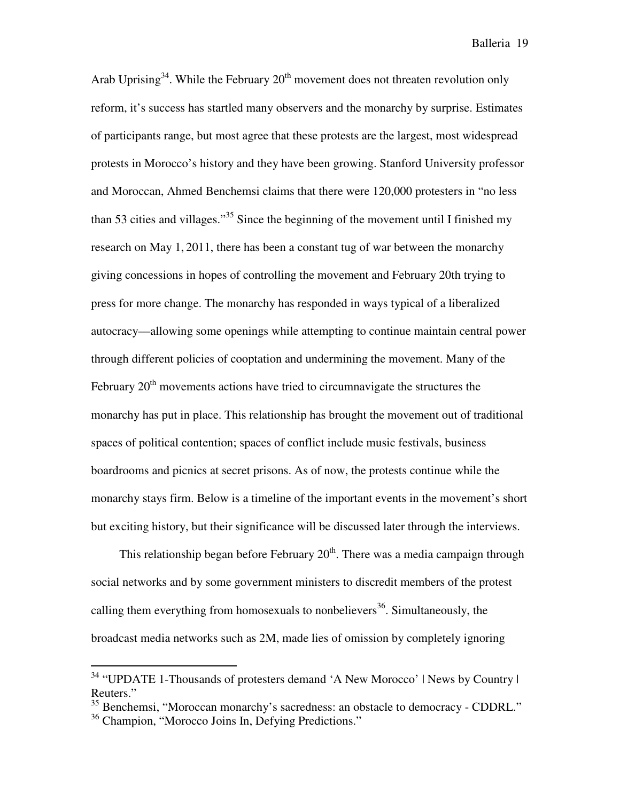Arab Uprising<sup>34</sup>. While the February  $20<sup>th</sup>$  movement does not threaten revolution only reform, it's success has startled many observers and the monarchy by surprise. Estimates of participants range, but most agree that these protests are the largest, most widespread protests in Morocco's history and they have been growing. Stanford University professor and Moroccan, Ahmed Benchemsi claims that there were 120,000 protesters in "no less than 53 cities and villages."<sup>35</sup> Since the beginning of the movement until I finished my research on May 1, 2011, there has been a constant tug of war between the monarchy giving concessions in hopes of controlling the movement and February 20th trying to press for more change. The monarchy has responded in ways typical of a liberalized autocracy—allowing some openings while attempting to continue maintain central power through different policies of cooptation and undermining the movement. Many of the February  $20<sup>th</sup>$  movements actions have tried to circumnavigate the structures the monarchy has put in place. This relationship has brought the movement out of traditional spaces of political contention; spaces of conflict include music festivals, business boardrooms and picnics at secret prisons. As of now, the protests continue while the monarchy stays firm. Below is a timeline of the important events in the movement's short but exciting history, but their significance will be discussed later through the interviews.

This relationship began before February  $20<sup>th</sup>$ . There was a media campaign through social networks and by some government ministers to discredit members of the protest calling them everything from homosexuals to nonbelievers<sup>36</sup>. Simultaneously, the broadcast media networks such as 2M, made lies of omission by completely ignoring

<sup>&</sup>lt;sup>34</sup> "UPDATE 1-Thousands of protesters demand 'A New Morocco' | News by Country | Reuters."

<sup>&</sup>lt;sup>35</sup> Benchemsi, "Moroccan monarchy's sacredness: an obstacle to democracy - CDDRL."

<sup>&</sup>lt;sup>36</sup> Champion, "Morocco Joins In, Defying Predictions."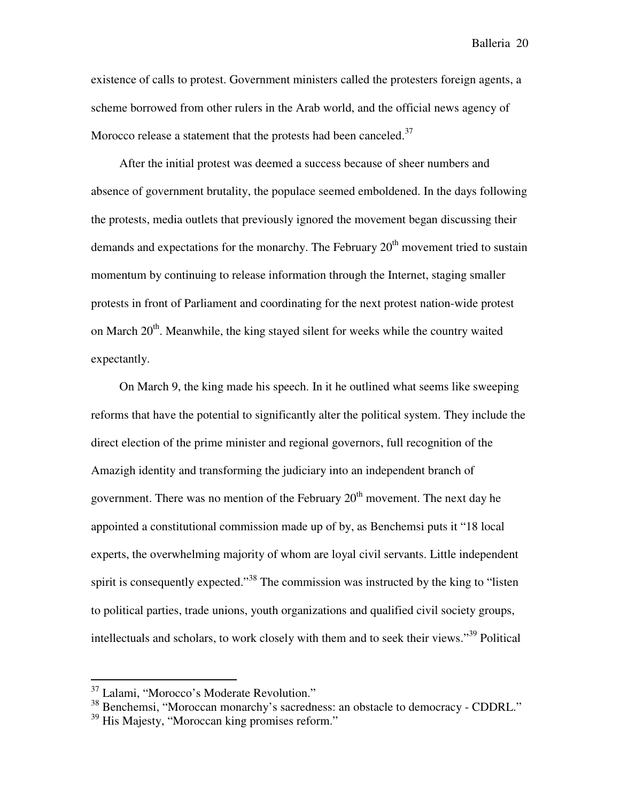existence of calls to protest. Government ministers called the protesters foreign agents, a scheme borrowed from other rulers in the Arab world, and the official news agency of Morocco release a statement that the protests had been canceled.<sup>37</sup>

 After the initial protest was deemed a success because of sheer numbers and absence of government brutality, the populace seemed emboldened. In the days following the protests, media outlets that previously ignored the movement began discussing their demands and expectations for the monarchy. The February  $20<sup>th</sup>$  movement tried to sustain momentum by continuing to release information through the Internet, staging smaller protests in front of Parliament and coordinating for the next protest nation-wide protest on March  $20<sup>th</sup>$ . Meanwhile, the king stayed silent for weeks while the country waited expectantly.

 On March 9, the king made his speech. In it he outlined what seems like sweeping reforms that have the potential to significantly alter the political system. They include the direct election of the prime minister and regional governors, full recognition of the Amazigh identity and transforming the judiciary into an independent branch of government. There was no mention of the February  $20<sup>th</sup>$  movement. The next day he appointed a constitutional commission made up of by, as Benchemsi puts it "18 local experts, the overwhelming majority of whom are loyal civil servants. Little independent spirit is consequently expected."<sup>38</sup> The commission was instructed by the king to "listen" to political parties, trade unions, youth organizations and qualified civil society groups, intellectuals and scholars, to work closely with them and to seek their views."<sup>39</sup> Political

<sup>37</sup> Lalami, "Morocco's Moderate Revolution."

<sup>&</sup>lt;sup>38</sup> Benchemsi, "Moroccan monarchy's sacredness: an obstacle to democracy - CDDRL."

 $39$  His Majesty, "Moroccan king promises reform."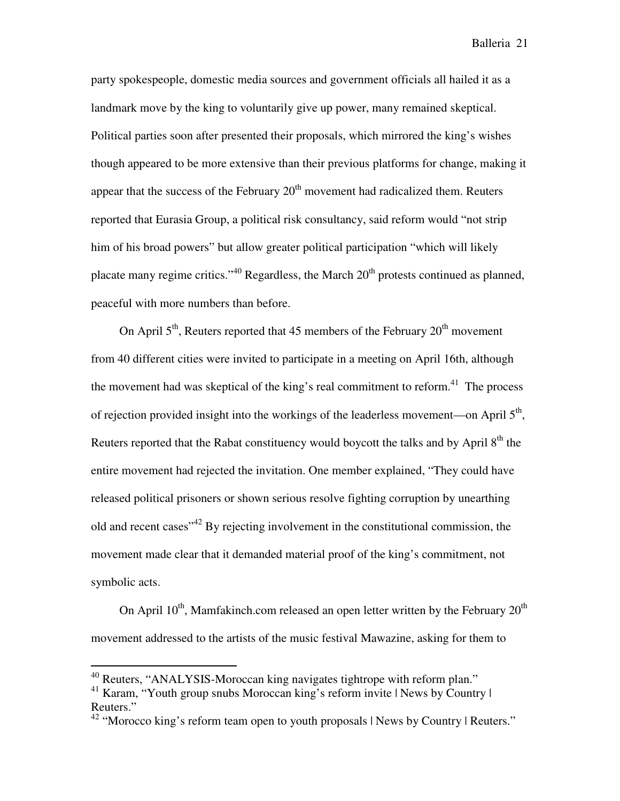party spokespeople, domestic media sources and government officials all hailed it as a landmark move by the king to voluntarily give up power, many remained skeptical. Political parties soon after presented their proposals, which mirrored the king's wishes though appeared to be more extensive than their previous platforms for change, making it appear that the success of the February  $20<sup>th</sup>$  movement had radicalized them. Reuters reported that Eurasia Group, a political risk consultancy, said reform would "not strip him of his broad powers" but allow greater political participation "which will likely placate many regime critics."<sup>40</sup> Regardless, the March  $20<sup>th</sup>$  protests continued as planned, peaceful with more numbers than before.

On April  $5<sup>th</sup>$ , Reuters reported that 45 members of the February  $20<sup>th</sup>$  movement from 40 different cities were invited to participate in a meeting on April 16th, although the movement had was skeptical of the king's real commitment to reform.<sup>41</sup> The process of rejection provided insight into the workings of the leaderless movement—on April  $5<sup>th</sup>$ , Reuters reported that the Rabat constituency would boycott the talks and by April  $8<sup>th</sup>$  the entire movement had rejected the invitation. One member explained, "They could have released political prisoners or shown serious resolve fighting corruption by unearthing old and recent cases<sup>"42</sup> By rejecting involvement in the constitutional commission, the movement made clear that it demanded material proof of the king's commitment, not symbolic acts.

On April  $10^{th}$ , Mamfakinch.com released an open letter written by the February  $20^{th}$ movement addressed to the artists of the music festival Mawazine, asking for them to

<sup>&</sup>lt;sup>40</sup> Reuters, "ANALYSIS-Moroccan king navigates tightrope with reform plan."

<sup>&</sup>lt;sup>41</sup> Karam, "Youth group snubs Moroccan king's reform invite | News by Country | Reuters."

<sup>&</sup>lt;sup>42</sup> "Morocco king's reform team open to youth proposals | News by Country | Reuters."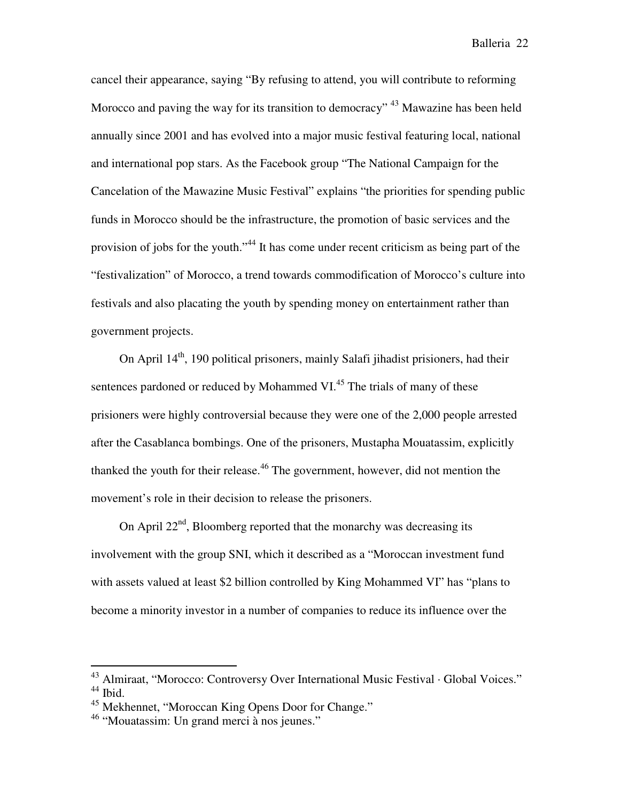cancel their appearance, saying "By refusing to attend, you will contribute to reforming Morocco and paving the way for its transition to democracy" <sup>43</sup> Mawazine has been held annually since 2001 and has evolved into a major music festival featuring local, national and international pop stars. As the Facebook group "The National Campaign for the Cancelation of the Mawazine Music Festival" explains "the priorities for spending public funds in Morocco should be the infrastructure, the promotion of basic services and the provision of jobs for the youth."<sup>44</sup> It has come under recent criticism as being part of the "festivalization" of Morocco, a trend towards commodification of Morocco's culture into festivals and also placating the youth by spending money on entertainment rather than government projects.

On April  $14<sup>th</sup>$ , 190 political prisoners, mainly Salafi jihadist prisioners, had their sentences pardoned or reduced by Mohammed VI.<sup>45</sup> The trials of many of these prisioners were highly controversial because they were one of the 2,000 people arrested after the Casablanca bombings. One of the prisoners, Mustapha Mouatassim, explicitly thanked the youth for their release.<sup>46</sup> The government, however, did not mention the movement's role in their decision to release the prisoners.

On April  $22<sup>nd</sup>$ , Bloomberg reported that the monarchy was decreasing its involvement with the group SNI, which it described as a "Moroccan investment fund with assets valued at least \$2 billion controlled by King Mohammed VI" has "plans to become a minority investor in a number of companies to reduce its influence over the

<sup>43</sup> Almiraat, "Morocco: Controversy Over International Music Festival · Global Voices." <sup>44</sup> Ibid.

<sup>45</sup> Mekhennet, "Moroccan King Opens Door for Change."

<sup>&</sup>lt;sup>46</sup> "Mouatassim: Un grand merci à nos jeunes."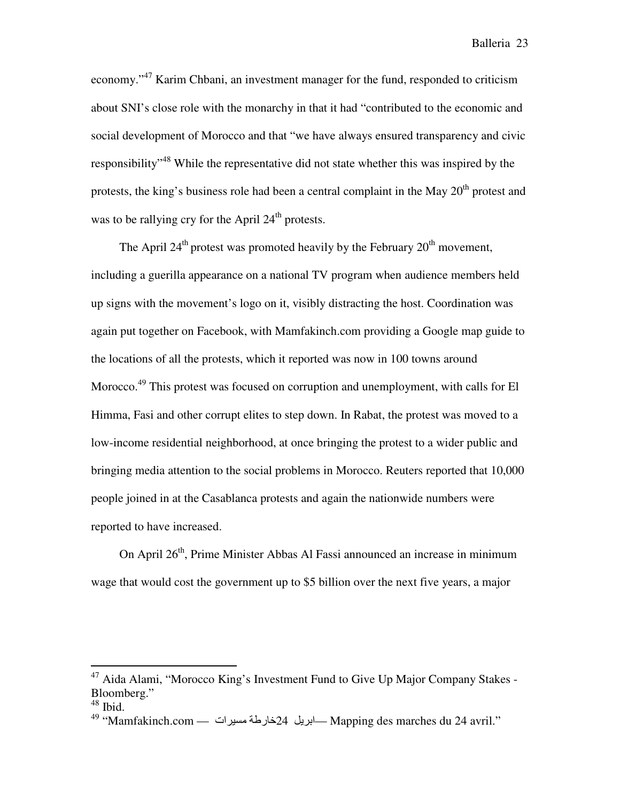economy."<sup>47</sup> Karim Chbani, an investment manager for the fund, responded to criticism about SNI's close role with the monarchy in that it had "contributed to the economic and social development of Morocco and that "we have always ensured transparency and civic responsibility"<sup>48</sup> While the representative did not state whether this was inspired by the protests, the king's business role had been a central complaint in the May  $20<sup>th</sup>$  protest and was to be rallying cry for the April  $24<sup>th</sup>$  protests.

The April  $24<sup>th</sup>$  protest was promoted heavily by the February  $20<sup>th</sup>$  movement, including a guerilla appearance on a national TV program when audience members held up signs with the movement's logo on it, visibly distracting the host. Coordination was again put together on Facebook, with Mamfakinch.com providing a Google map guide to the locations of all the protests, which it reported was now in 100 towns around Morocco.<sup>49</sup> This protest was focused on corruption and unemployment, with calls for El Himma, Fasi and other corrupt elites to step down. In Rabat, the protest was moved to a low-income residential neighborhood, at once bringing the protest to a wider public and bringing media attention to the social problems in Morocco. Reuters reported that 10,000 people joined in at the Casablanca protests and again the nationwide numbers were reported to have increased.

On April  $26<sup>th</sup>$ , Prime Minister Abbas Al Fassi announced an increase in minimum wage that would cost the government up to \$5 billion over the next five years, a major

<sup>&</sup>lt;sup>47</sup> Aida Alami, "Morocco King's Investment Fund to Give Up Major Company Stakes -Bloomberg."

 $^{48}$  Ibid.

 $^{49}$  "Mamfakinch.com — ابريل 24خارطة مسيرات — Mapping des marches du 24 avril."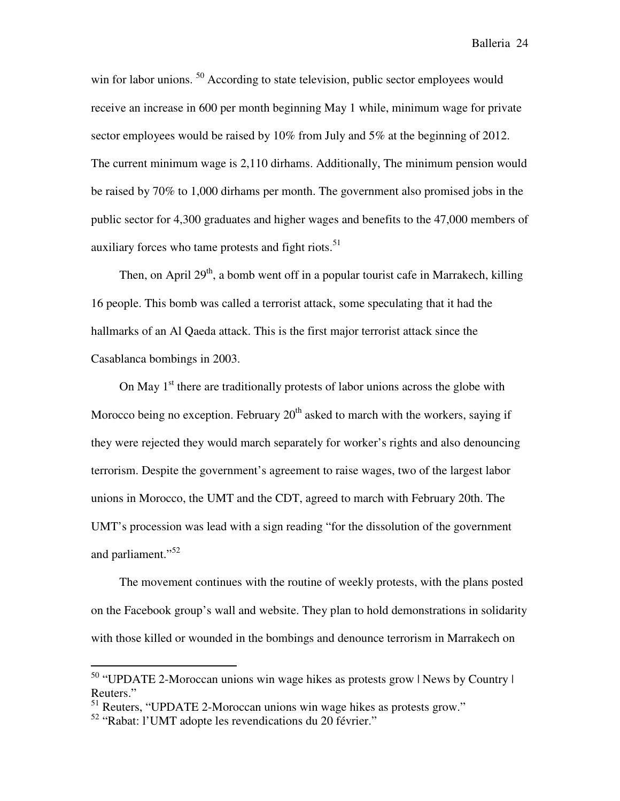win for labor unions. <sup>50</sup> According to state television, public sector employees would receive an increase in 600 per month beginning May 1 while, minimum wage for private sector employees would be raised by 10% from July and 5% at the beginning of 2012. The current minimum wage is 2,110 dirhams. Additionally, The minimum pension would be raised by 70% to 1,000 dirhams per month. The government also promised jobs in the public sector for 4,300 graduates and higher wages and benefits to the 47,000 members of auxiliary forces who tame protests and fight riots.<sup>51</sup>

Then, on April  $29<sup>th</sup>$ , a bomb went off in a popular tourist cafe in Marrakech, killing 16 people. This bomb was called a terrorist attack, some speculating that it had the hallmarks of an Al Qaeda attack. This is the first major terrorist attack since the Casablanca bombings in 2003.

On May  $1<sup>st</sup>$  there are traditionally protests of labor unions across the globe with Morocco being no exception. February  $20<sup>th</sup>$  asked to march with the workers, saying if they were rejected they would march separately for worker's rights and also denouncing terrorism. Despite the government's agreement to raise wages, two of the largest labor unions in Morocco, the UMT and the CDT, agreed to march with February 20th. The UMT's procession was lead with a sign reading "for the dissolution of the government and parliament."<sup>52</sup>

 The movement continues with the routine of weekly protests, with the plans posted on the Facebook group's wall and website. They plan to hold demonstrations in solidarity with those killed or wounded in the bombings and denounce terrorism in Marrakech on

<sup>50</sup> "UPDATE 2-Moroccan unions win wage hikes as protests grow | News by Country | Reuters."

<sup>51</sup> Reuters, "UPDATE 2-Moroccan unions win wage hikes as protests grow."

<sup>52</sup> "Rabat: l'UMT adopte les revendications du 20 février."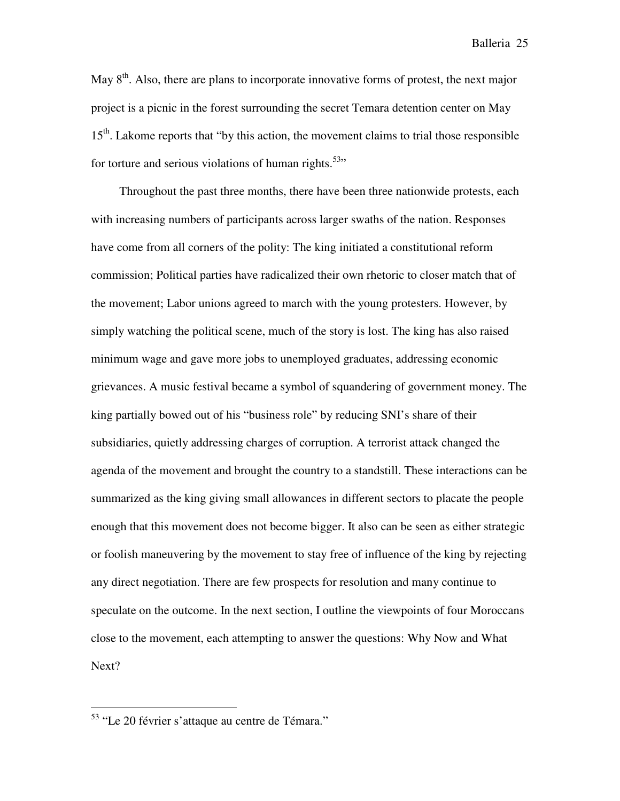May  $8<sup>th</sup>$ . Also, there are plans to incorporate innovative forms of protest, the next major project is a picnic in the forest surrounding the secret Temara detention center on May  $15<sup>th</sup>$ . Lakome reports that "by this action, the movement claims to trial those responsible for torture and serious violations of human rights.<sup>53</sup>"

 Throughout the past three months, there have been three nationwide protests, each with increasing numbers of participants across larger swaths of the nation. Responses have come from all corners of the polity: The king initiated a constitutional reform commission; Political parties have radicalized their own rhetoric to closer match that of the movement; Labor unions agreed to march with the young protesters. However, by simply watching the political scene, much of the story is lost. The king has also raised minimum wage and gave more jobs to unemployed graduates, addressing economic grievances. A music festival became a symbol of squandering of government money. The king partially bowed out of his "business role" by reducing SNI's share of their subsidiaries, quietly addressing charges of corruption. A terrorist attack changed the agenda of the movement and brought the country to a standstill. These interactions can be summarized as the king giving small allowances in different sectors to placate the people enough that this movement does not become bigger. It also can be seen as either strategic or foolish maneuvering by the movement to stay free of influence of the king by rejecting any direct negotiation. There are few prospects for resolution and many continue to speculate on the outcome. In the next section, I outline the viewpoints of four Moroccans close to the movement, each attempting to answer the questions: Why Now and What Next?

l.

<sup>53</sup> "Le 20 février s'attaque au centre de Témara."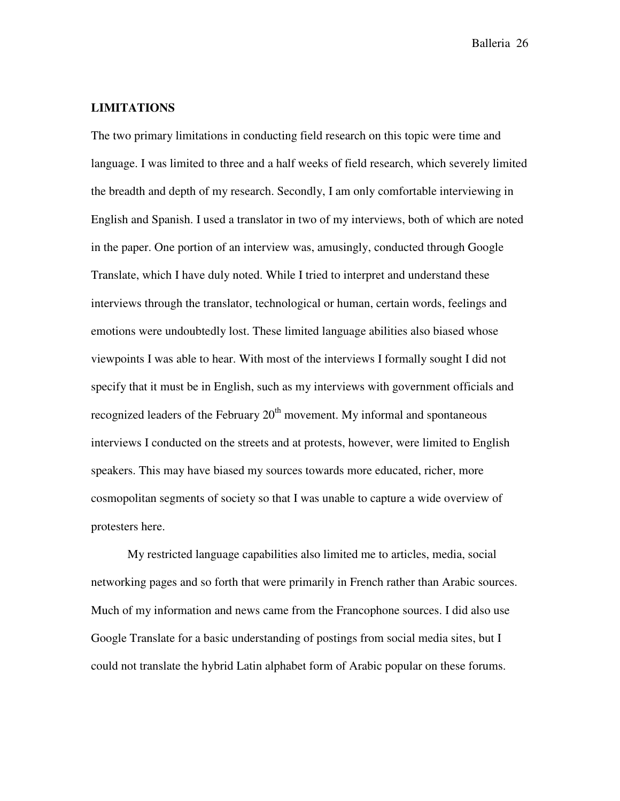#### **LIMITATIONS**

The two primary limitations in conducting field research on this topic were time and language. I was limited to three and a half weeks of field research, which severely limited the breadth and depth of my research. Secondly, I am only comfortable interviewing in English and Spanish. I used a translator in two of my interviews, both of which are noted in the paper. One portion of an interview was, amusingly, conducted through Google Translate, which I have duly noted. While I tried to interpret and understand these interviews through the translator, technological or human, certain words, feelings and emotions were undoubtedly lost. These limited language abilities also biased whose viewpoints I was able to hear. With most of the interviews I formally sought I did not specify that it must be in English, such as my interviews with government officials and recognized leaders of the February  $20<sup>th</sup>$  movement. My informal and spontaneous interviews I conducted on the streets and at protests, however, were limited to English speakers. This may have biased my sources towards more educated, richer, more cosmopolitan segments of society so that I was unable to capture a wide overview of protesters here.

My restricted language capabilities also limited me to articles, media, social networking pages and so forth that were primarily in French rather than Arabic sources. Much of my information and news came from the Francophone sources. I did also use Google Translate for a basic understanding of postings from social media sites, but I could not translate the hybrid Latin alphabet form of Arabic popular on these forums.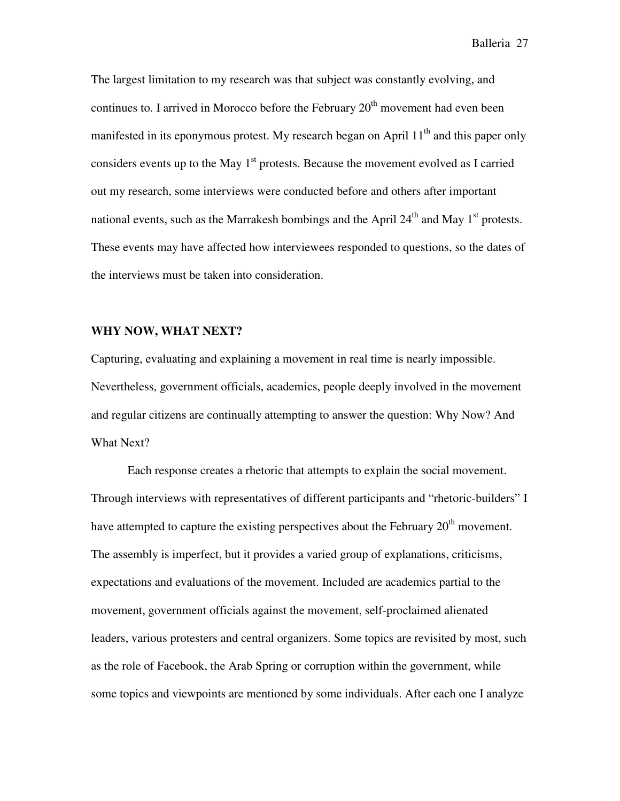The largest limitation to my research was that subject was constantly evolving, and continues to. I arrived in Morocco before the February  $20<sup>th</sup>$  movement had even been manifested in its eponymous protest. My research began on April  $11<sup>th</sup>$  and this paper only considers events up to the May  $1<sup>st</sup>$  protests. Because the movement evolved as I carried out my research, some interviews were conducted before and others after important national events, such as the Marrakesh bombings and the April  $24<sup>th</sup>$  and May 1<sup>st</sup> protests. These events may have affected how interviewees responded to questions, so the dates of the interviews must be taken into consideration.

#### **WHY NOW, WHAT NEXT?**

Capturing, evaluating and explaining a movement in real time is nearly impossible. Nevertheless, government officials, academics, people deeply involved in the movement and regular citizens are continually attempting to answer the question: Why Now? And What Next?

Each response creates a rhetoric that attempts to explain the social movement. Through interviews with representatives of different participants and "rhetoric-builders" I have attempted to capture the existing perspectives about the February  $20<sup>th</sup>$  movement. The assembly is imperfect, but it provides a varied group of explanations, criticisms, expectations and evaluations of the movement. Included are academics partial to the movement, government officials against the movement, self-proclaimed alienated leaders, various protesters and central organizers. Some topics are revisited by most, such as the role of Facebook, the Arab Spring or corruption within the government, while some topics and viewpoints are mentioned by some individuals. After each one I analyze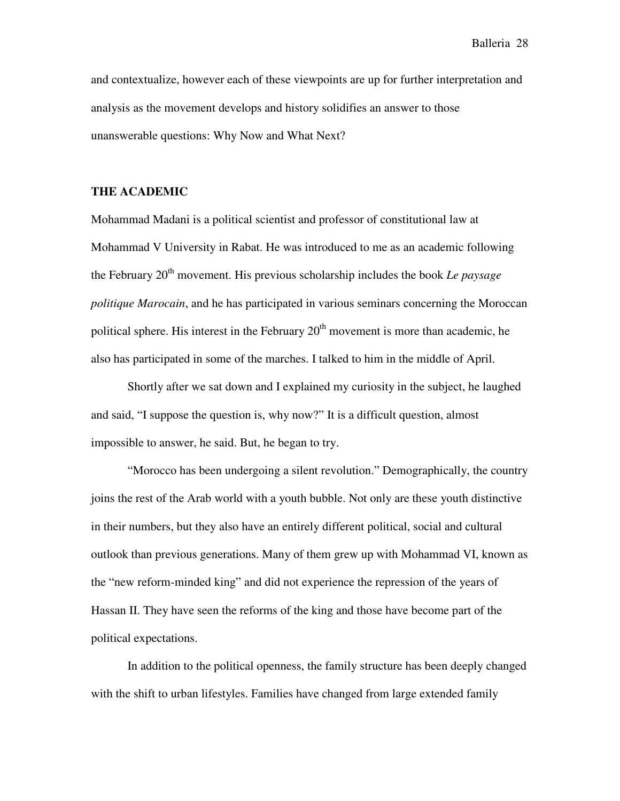and contextualize, however each of these viewpoints are up for further interpretation and analysis as the movement develops and history solidifies an answer to those unanswerable questions: Why Now and What Next?

#### **THE ACADEMIC**

Mohammad Madani is a political scientist and professor of constitutional law at Mohammad V University in Rabat. He was introduced to me as an academic following the February 20<sup>th</sup> movement. His previous scholarship includes the book *Le paysage politique Marocain*, and he has participated in various seminars concerning the Moroccan political sphere. His interest in the February  $20<sup>th</sup>$  movement is more than academic, he also has participated in some of the marches. I talked to him in the middle of April.

Shortly after we sat down and I explained my curiosity in the subject, he laughed and said, "I suppose the question is, why now?" It is a difficult question, almost impossible to answer, he said. But, he began to try.

"Morocco has been undergoing a silent revolution." Demographically, the country joins the rest of the Arab world with a youth bubble. Not only are these youth distinctive in their numbers, but they also have an entirely different political, social and cultural outlook than previous generations. Many of them grew up with Mohammad VI, known as the "new reform-minded king" and did not experience the repression of the years of Hassan II. They have seen the reforms of the king and those have become part of the political expectations.

In addition to the political openness, the family structure has been deeply changed with the shift to urban lifestyles. Families have changed from large extended family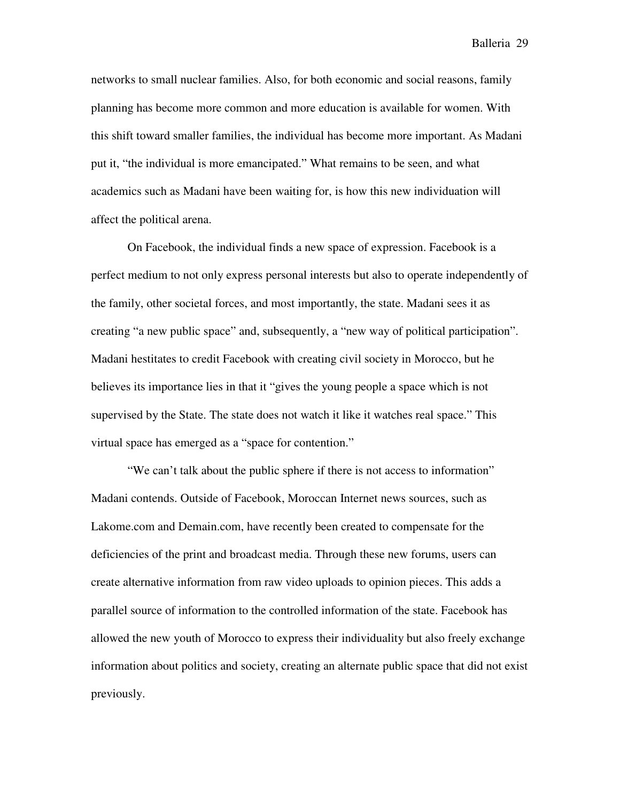networks to small nuclear families. Also, for both economic and social reasons, family planning has become more common and more education is available for women. With this shift toward smaller families, the individual has become more important. As Madani put it, "the individual is more emancipated." What remains to be seen, and what academics such as Madani have been waiting for, is how this new individuation will affect the political arena.

On Facebook, the individual finds a new space of expression. Facebook is a perfect medium to not only express personal interests but also to operate independently of the family, other societal forces, and most importantly, the state. Madani sees it as creating "a new public space" and, subsequently, a "new way of political participation". Madani hestitates to credit Facebook with creating civil society in Morocco, but he believes its importance lies in that it "gives the young people a space which is not supervised by the State. The state does not watch it like it watches real space." This virtual space has emerged as a "space for contention."

"We can't talk about the public sphere if there is not access to information" Madani contends. Outside of Facebook, Moroccan Internet news sources, such as Lakome.com and Demain.com, have recently been created to compensate for the deficiencies of the print and broadcast media. Through these new forums, users can create alternative information from raw video uploads to opinion pieces. This adds a parallel source of information to the controlled information of the state. Facebook has allowed the new youth of Morocco to express their individuality but also freely exchange information about politics and society, creating an alternate public space that did not exist previously.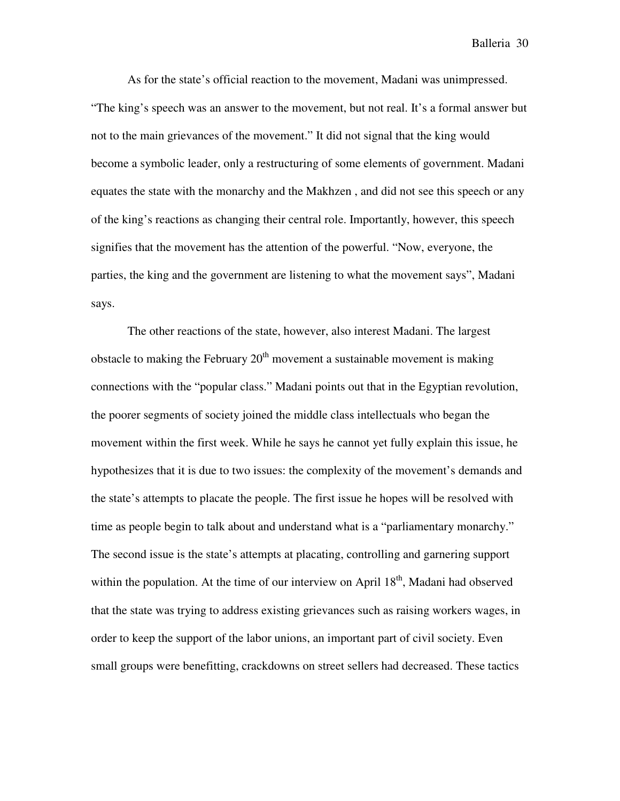As for the state's official reaction to the movement, Madani was unimpressed. "The king's speech was an answer to the movement, but not real. It's a formal answer but not to the main grievances of the movement." It did not signal that the king would become a symbolic leader, only a restructuring of some elements of government. Madani equates the state with the monarchy and the Makhzen , and did not see this speech or any of the king's reactions as changing their central role. Importantly, however, this speech signifies that the movement has the attention of the powerful. "Now, everyone, the parties, the king and the government are listening to what the movement says", Madani says.

The other reactions of the state, however, also interest Madani. The largest obstacle to making the February  $20<sup>th</sup>$  movement a sustainable movement is making connections with the "popular class." Madani points out that in the Egyptian revolution, the poorer segments of society joined the middle class intellectuals who began the movement within the first week. While he says he cannot yet fully explain this issue, he hypothesizes that it is due to two issues: the complexity of the movement's demands and the state's attempts to placate the people. The first issue he hopes will be resolved with time as people begin to talk about and understand what is a "parliamentary monarchy." The second issue is the state's attempts at placating, controlling and garnering support within the population. At the time of our interview on April  $18<sup>th</sup>$ , Madani had observed that the state was trying to address existing grievances such as raising workers wages, in order to keep the support of the labor unions, an important part of civil society. Even small groups were benefitting, crackdowns on street sellers had decreased. These tactics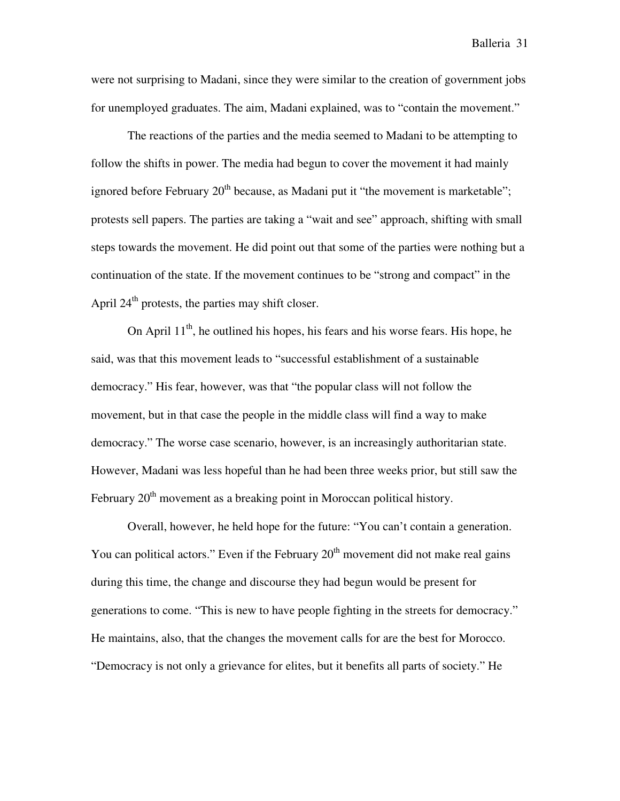were not surprising to Madani, since they were similar to the creation of government jobs for unemployed graduates. The aim, Madani explained, was to "contain the movement."

The reactions of the parties and the media seemed to Madani to be attempting to follow the shifts in power. The media had begun to cover the movement it had mainly ignored before February  $20<sup>th</sup>$  because, as Madani put it "the movement is marketable"; protests sell papers. The parties are taking a "wait and see" approach, shifting with small steps towards the movement. He did point out that some of the parties were nothing but a continuation of the state. If the movement continues to be "strong and compact" in the April  $24<sup>th</sup>$  protests, the parties may shift closer.

On April  $11^{th}$ , he outlined his hopes, his fears and his worse fears. His hope, he said, was that this movement leads to "successful establishment of a sustainable democracy." His fear, however, was that "the popular class will not follow the movement, but in that case the people in the middle class will find a way to make democracy." The worse case scenario, however, is an increasingly authoritarian state. However, Madani was less hopeful than he had been three weeks prior, but still saw the February  $20<sup>th</sup>$  movement as a breaking point in Moroccan political history.

Overall, however, he held hope for the future: "You can't contain a generation. You can political actors." Even if the February  $20<sup>th</sup>$  movement did not make real gains during this time, the change and discourse they had begun would be present for generations to come. "This is new to have people fighting in the streets for democracy." He maintains, also, that the changes the movement calls for are the best for Morocco. "Democracy is not only a grievance for elites, but it benefits all parts of society." He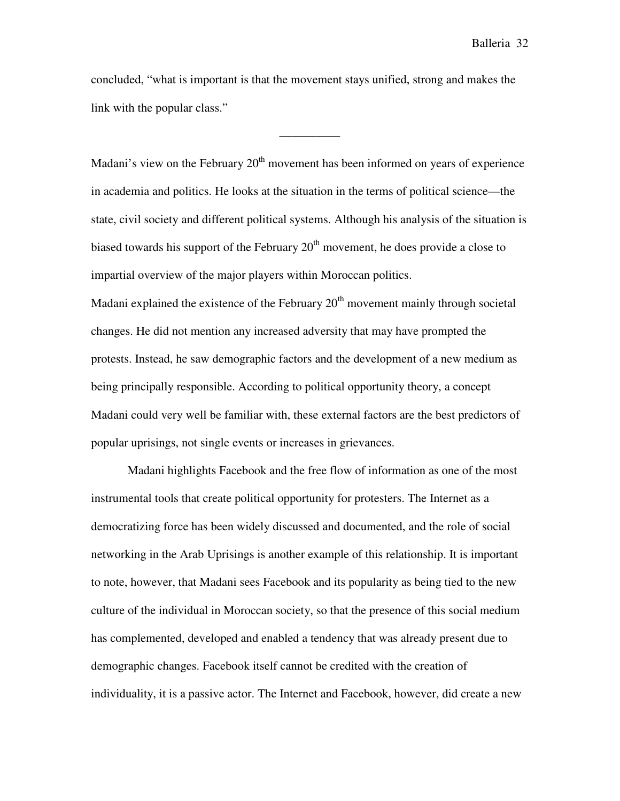concluded, "what is important is that the movement stays unified, strong and makes the link with the popular class."

—————

Madani's view on the February  $20<sup>th</sup>$  movement has been informed on years of experience in academia and politics. He looks at the situation in the terms of political science—the state, civil society and different political systems. Although his analysis of the situation is biased towards his support of the February  $20<sup>th</sup>$  movement, he does provide a close to impartial overview of the major players within Moroccan politics. Madani explained the existence of the February  $20<sup>th</sup>$  movement mainly through societal changes. He did not mention any increased adversity that may have prompted the protests. Instead, he saw demographic factors and the development of a new medium as being principally responsible. According to political opportunity theory, a concept Madani could very well be familiar with, these external factors are the best predictors of popular uprisings, not single events or increases in grievances.

Madani highlights Facebook and the free flow of information as one of the most instrumental tools that create political opportunity for protesters. The Internet as a democratizing force has been widely discussed and documented, and the role of social networking in the Arab Uprisings is another example of this relationship. It is important to note, however, that Madani sees Facebook and its popularity as being tied to the new culture of the individual in Moroccan society, so that the presence of this social medium has complemented, developed and enabled a tendency that was already present due to demographic changes. Facebook itself cannot be credited with the creation of individuality, it is a passive actor. The Internet and Facebook, however, did create a new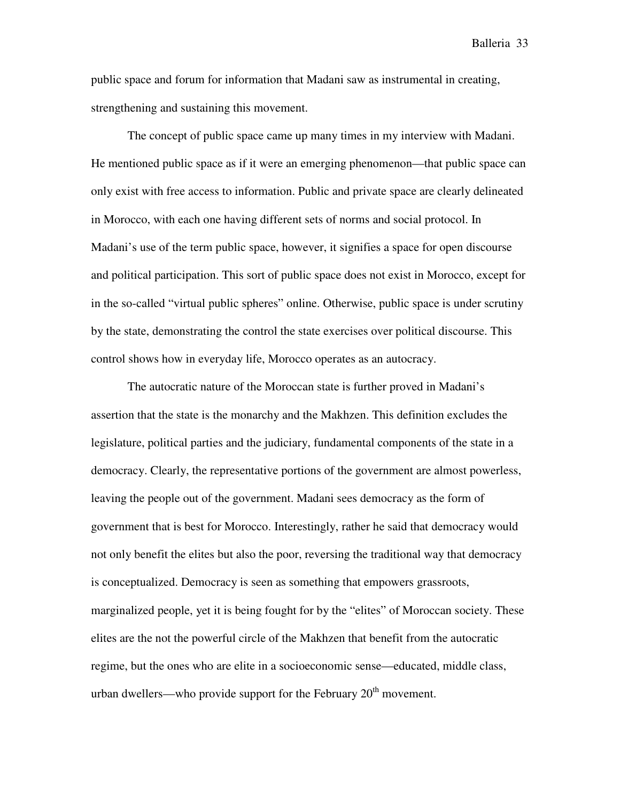public space and forum for information that Madani saw as instrumental in creating, strengthening and sustaining this movement.

The concept of public space came up many times in my interview with Madani. He mentioned public space as if it were an emerging phenomenon—that public space can only exist with free access to information. Public and private space are clearly delineated in Morocco, with each one having different sets of norms and social protocol. In Madani's use of the term public space, however, it signifies a space for open discourse and political participation. This sort of public space does not exist in Morocco, except for in the so-called "virtual public spheres" online. Otherwise, public space is under scrutiny by the state, demonstrating the control the state exercises over political discourse. This control shows how in everyday life, Morocco operates as an autocracy.

The autocratic nature of the Moroccan state is further proved in Madani's assertion that the state is the monarchy and the Makhzen. This definition excludes the legislature, political parties and the judiciary, fundamental components of the state in a democracy. Clearly, the representative portions of the government are almost powerless, leaving the people out of the government. Madani sees democracy as the form of government that is best for Morocco. Interestingly, rather he said that democracy would not only benefit the elites but also the poor, reversing the traditional way that democracy is conceptualized. Democracy is seen as something that empowers grassroots, marginalized people, yet it is being fought for by the "elites" of Moroccan society. These elites are the not the powerful circle of the Makhzen that benefit from the autocratic regime, but the ones who are elite in a socioeconomic sense—educated, middle class, urban dwellers—who provide support for the February  $20<sup>th</sup>$  movement.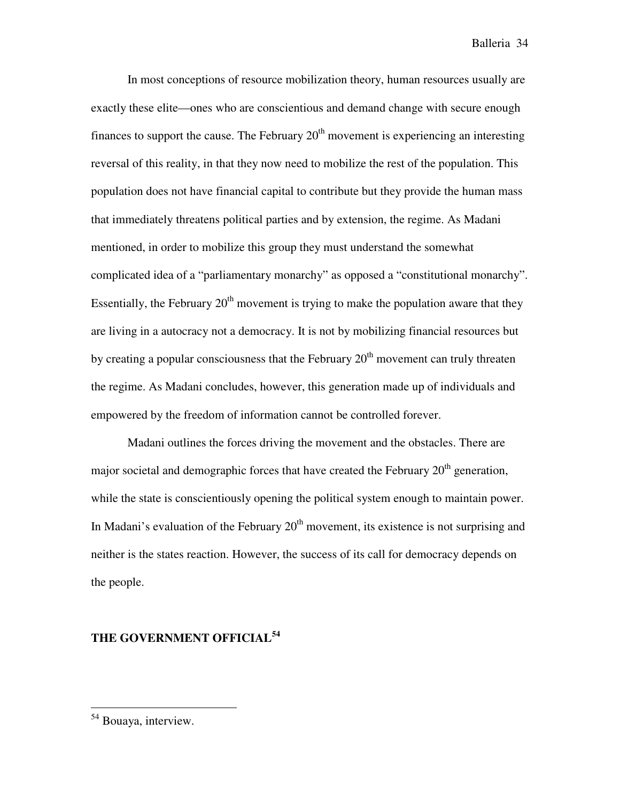In most conceptions of resource mobilization theory, human resources usually are exactly these elite—ones who are conscientious and demand change with secure enough finances to support the cause. The February  $20<sup>th</sup>$  movement is experiencing an interesting reversal of this reality, in that they now need to mobilize the rest of the population. This population does not have financial capital to contribute but they provide the human mass that immediately threatens political parties and by extension, the regime. As Madani mentioned, in order to mobilize this group they must understand the somewhat complicated idea of a "parliamentary monarchy" as opposed a "constitutional monarchy". Essentially, the February  $20<sup>th</sup>$  movement is trying to make the population aware that they are living in a autocracy not a democracy. It is not by mobilizing financial resources but by creating a popular consciousness that the February  $20<sup>th</sup>$  movement can truly threaten the regime. As Madani concludes, however, this generation made up of individuals and empowered by the freedom of information cannot be controlled forever.

Madani outlines the forces driving the movement and the obstacles. There are major societal and demographic forces that have created the February  $20<sup>th</sup>$  generation, while the state is conscientiously opening the political system enough to maintain power. In Madani's evaluation of the February  $20<sup>th</sup>$  movement, its existence is not surprising and neither is the states reaction. However, the success of its call for democracy depends on the people.

## **THE GOVERNMENT OFFICIAL<sup>54</sup>**

l.

<sup>&</sup>lt;sup>54</sup> Bouaya, interview.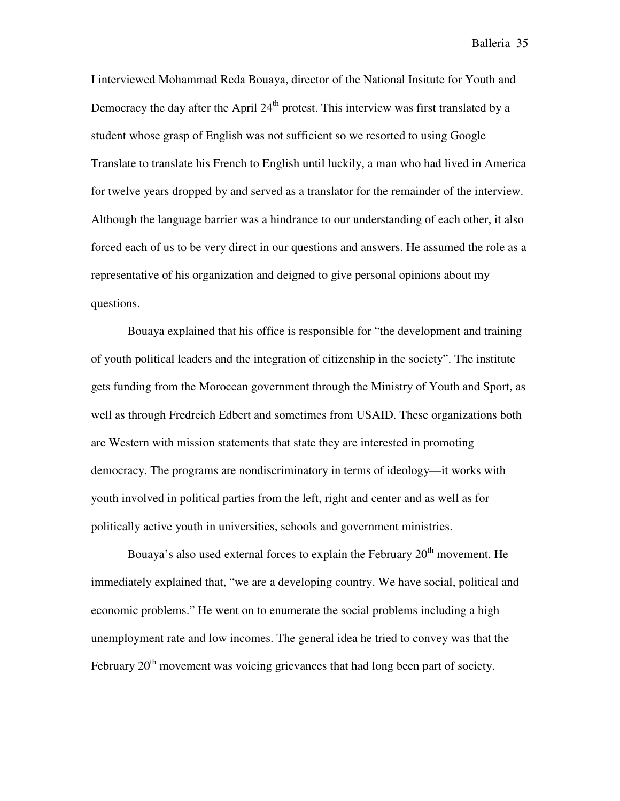I interviewed Mohammad Reda Bouaya, director of the National Insitute for Youth and Democracy the day after the April  $24<sup>th</sup>$  protest. This interview was first translated by a student whose grasp of English was not sufficient so we resorted to using Google Translate to translate his French to English until luckily, a man who had lived in America for twelve years dropped by and served as a translator for the remainder of the interview. Although the language barrier was a hindrance to our understanding of each other, it also forced each of us to be very direct in our questions and answers. He assumed the role as a representative of his organization and deigned to give personal opinions about my questions.

Bouaya explained that his office is responsible for "the development and training of youth political leaders and the integration of citizenship in the society". The institute gets funding from the Moroccan government through the Ministry of Youth and Sport, as well as through Fredreich Edbert and sometimes from USAID. These organizations both are Western with mission statements that state they are interested in promoting democracy. The programs are nondiscriminatory in terms of ideology—it works with youth involved in political parties from the left, right and center and as well as for politically active youth in universities, schools and government ministries.

Bouaya's also used external forces to explain the February  $20<sup>th</sup>$  movement. He immediately explained that, "we are a developing country. We have social, political and economic problems." He went on to enumerate the social problems including a high unemployment rate and low incomes. The general idea he tried to convey was that the February 20<sup>th</sup> movement was voicing grievances that had long been part of society.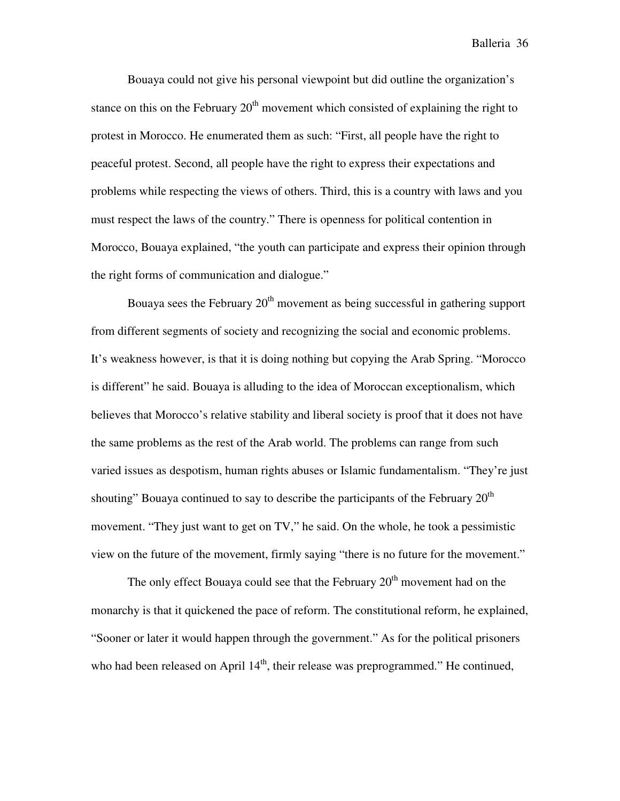Bouaya could not give his personal viewpoint but did outline the organization's stance on this on the February  $20<sup>th</sup>$  movement which consisted of explaining the right to protest in Morocco. He enumerated them as such: "First, all people have the right to peaceful protest. Second, all people have the right to express their expectations and problems while respecting the views of others. Third, this is a country with laws and you must respect the laws of the country." There is openness for political contention in Morocco, Bouaya explained, "the youth can participate and express their opinion through the right forms of communication and dialogue."

Bouaya sees the February  $20<sup>th</sup>$  movement as being successful in gathering support from different segments of society and recognizing the social and economic problems. It's weakness however, is that it is doing nothing but copying the Arab Spring. "Morocco is different" he said. Bouaya is alluding to the idea of Moroccan exceptionalism, which believes that Morocco's relative stability and liberal society is proof that it does not have the same problems as the rest of the Arab world. The problems can range from such varied issues as despotism, human rights abuses or Islamic fundamentalism. "They're just shouting" Bouaya continued to say to describe the participants of the February  $20<sup>th</sup>$ movement. "They just want to get on TV," he said. On the whole, he took a pessimistic view on the future of the movement, firmly saying "there is no future for the movement."

The only effect Bouaya could see that the February  $20<sup>th</sup>$  movement had on the monarchy is that it quickened the pace of reform. The constitutional reform, he explained, "Sooner or later it would happen through the government." As for the political prisoners who had been released on April  $14<sup>th</sup>$ , their release was preprogrammed." He continued,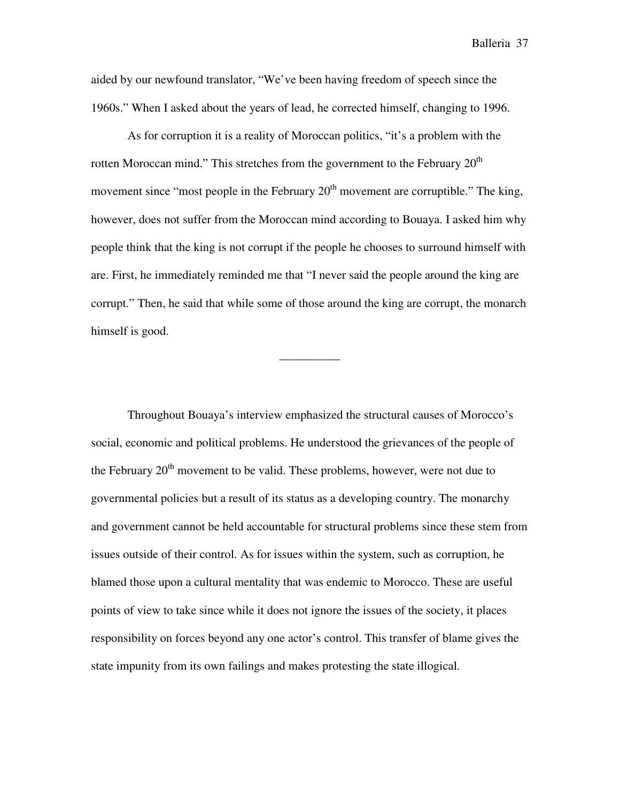aided by our newfound translator, "We've been having freedom of speech since the 1960s." When I asked about the years of lead, he corrected himself, changing to 1996.

As for corruption it is a reality of Moroccan politics, "it's a problem with the rotten Moroccan mind." This stretches from the government to the February  $20<sup>th</sup>$ movement since "most people in the February  $20<sup>th</sup>$  movement are corruptible." The king, however, does not suffer from the Moroccan mind according to Bouaya. I asked him why people think that the king is not corrupt if the people he chooses to surround himself with are. First, he immediately reminded me that "I never said the people around the king are corrupt." Then, he said that while some of those around the king are corrupt, the monarch himself is good.

—————

Throughout Bouaya's interview emphasized the structural causes of Morocco's social, economic and political problems. He understood the grievances of the people of the February  $20<sup>th</sup>$  movement to be valid. These problems, however, were not due to governmental policies but a result of its status as a developing country. The monarchy and government cannot be held accountable for structural problems since these stem from issues outside of their control. As for issues within the system, such as corruption, he blamed those upon a cultural mentality that was endemic to Morocco. These are useful points of view to take since while it does not ignore the issues of the society, it places responsibility on forces beyond any one actor's control. This transfer of blame gives the state impunity from its own failings and makes protesting the state illogical.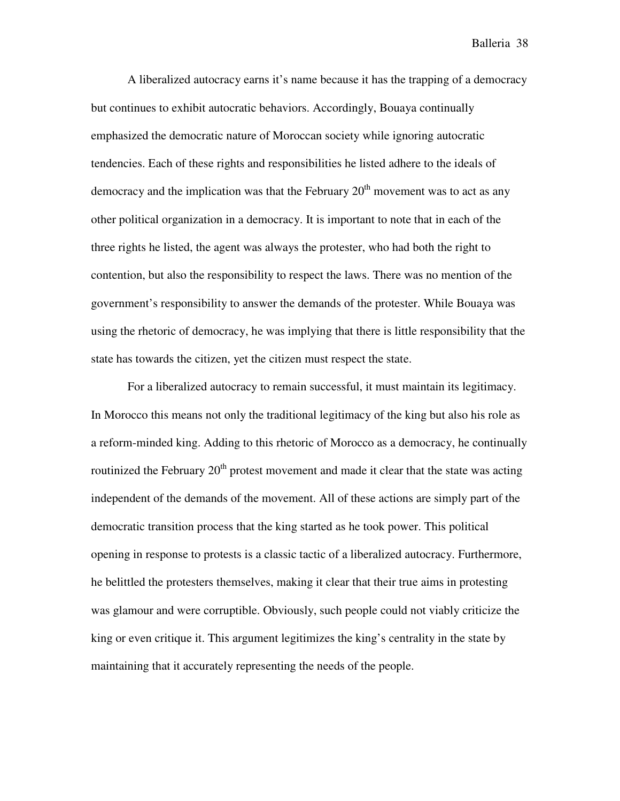A liberalized autocracy earns it's name because it has the trapping of a democracy but continues to exhibit autocratic behaviors. Accordingly, Bouaya continually emphasized the democratic nature of Moroccan society while ignoring autocratic tendencies. Each of these rights and responsibilities he listed adhere to the ideals of democracy and the implication was that the February  $20<sup>th</sup>$  movement was to act as any other political organization in a democracy. It is important to note that in each of the three rights he listed, the agent was always the protester, who had both the right to contention, but also the responsibility to respect the laws. There was no mention of the government's responsibility to answer the demands of the protester. While Bouaya was using the rhetoric of democracy, he was implying that there is little responsibility that the state has towards the citizen, yet the citizen must respect the state.

For a liberalized autocracy to remain successful, it must maintain its legitimacy. In Morocco this means not only the traditional legitimacy of the king but also his role as a reform-minded king. Adding to this rhetoric of Morocco as a democracy, he continually routinized the February  $20<sup>th</sup>$  protest movement and made it clear that the state was acting independent of the demands of the movement. All of these actions are simply part of the democratic transition process that the king started as he took power. This political opening in response to protests is a classic tactic of a liberalized autocracy. Furthermore, he belittled the protesters themselves, making it clear that their true aims in protesting was glamour and were corruptible. Obviously, such people could not viably criticize the king or even critique it. This argument legitimizes the king's centrality in the state by maintaining that it accurately representing the needs of the people.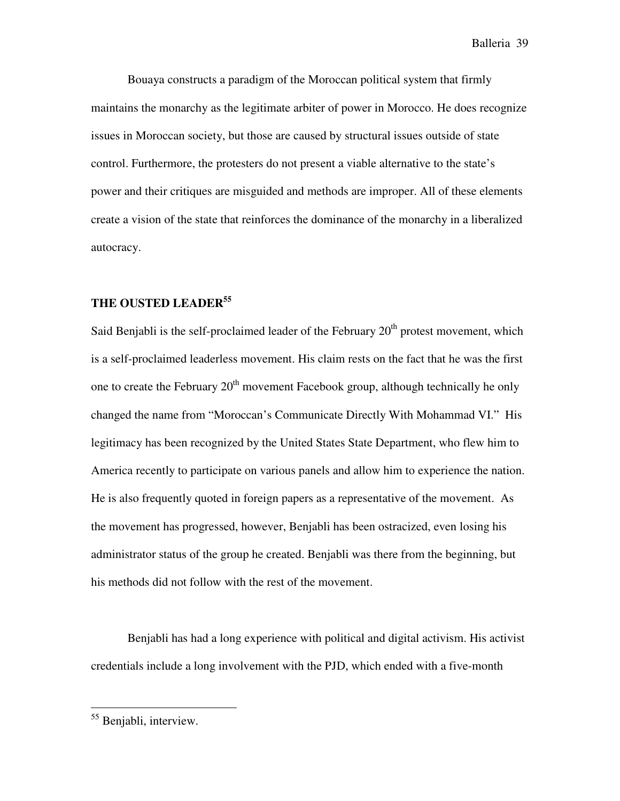Bouaya constructs a paradigm of the Moroccan political system that firmly maintains the monarchy as the legitimate arbiter of power in Morocco. He does recognize issues in Moroccan society, but those are caused by structural issues outside of state control. Furthermore, the protesters do not present a viable alternative to the state's power and their critiques are misguided and methods are improper. All of these elements create a vision of the state that reinforces the dominance of the monarchy in a liberalized autocracy.

## **THE OUSTED LEADER<sup>55</sup>**

Said Benjabli is the self-proclaimed leader of the February  $20<sup>th</sup>$  protest movement, which is a self-proclaimed leaderless movement. His claim rests on the fact that he was the first one to create the February  $20<sup>th</sup>$  movement Facebook group, although technically he only changed the name from "Moroccan's Communicate Directly With Mohammad VI." His legitimacy has been recognized by the United States State Department, who flew him to America recently to participate on various panels and allow him to experience the nation. He is also frequently quoted in foreign papers as a representative of the movement. As the movement has progressed, however, Benjabli has been ostracized, even losing his administrator status of the group he created. Benjabli was there from the beginning, but his methods did not follow with the rest of the movement.

Benjabli has had a long experience with political and digital activism. His activist credentials include a long involvement with the PJD, which ended with a five-month

<sup>55</sup> Benjabli, interview.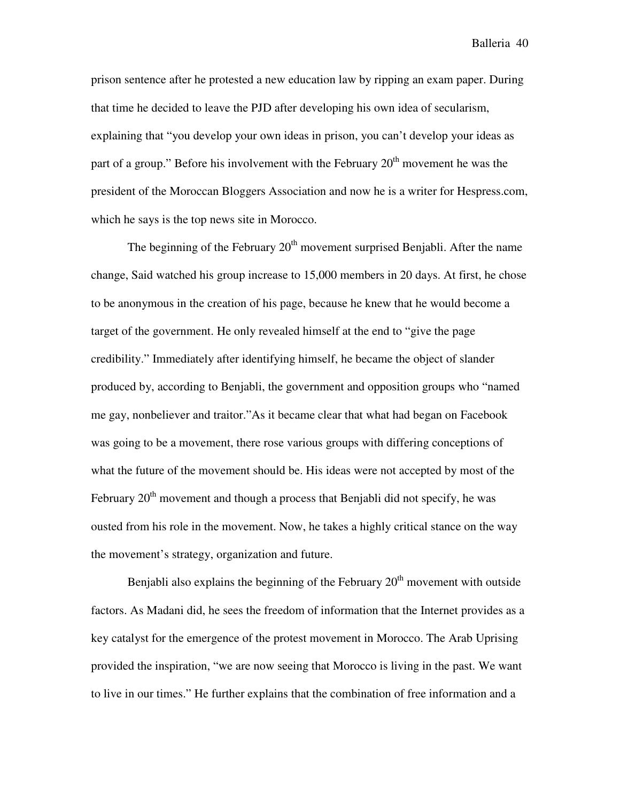prison sentence after he protested a new education law by ripping an exam paper. During that time he decided to leave the PJD after developing his own idea of secularism, explaining that "you develop your own ideas in prison, you can't develop your ideas as part of a group." Before his involvement with the February  $20<sup>th</sup>$  movement he was the president of the Moroccan Bloggers Association and now he is a writer for Hespress.com, which he says is the top news site in Morocco.

The beginning of the February  $20<sup>th</sup>$  movement surprised Benjabli. After the name change, Said watched his group increase to 15,000 members in 20 days. At first, he chose to be anonymous in the creation of his page, because he knew that he would become a target of the government. He only revealed himself at the end to "give the page credibility." Immediately after identifying himself, he became the object of slander produced by, according to Benjabli, the government and opposition groups who "named me gay, nonbeliever and traitor."As it became clear that what had began on Facebook was going to be a movement, there rose various groups with differing conceptions of what the future of the movement should be. His ideas were not accepted by most of the February  $20<sup>th</sup>$  movement and though a process that Benjabli did not specify, he was ousted from his role in the movement. Now, he takes a highly critical stance on the way the movement's strategy, organization and future.

Benjabli also explains the beginning of the February  $20<sup>th</sup>$  movement with outside factors. As Madani did, he sees the freedom of information that the Internet provides as a key catalyst for the emergence of the protest movement in Morocco. The Arab Uprising provided the inspiration, "we are now seeing that Morocco is living in the past. We want to live in our times." He further explains that the combination of free information and a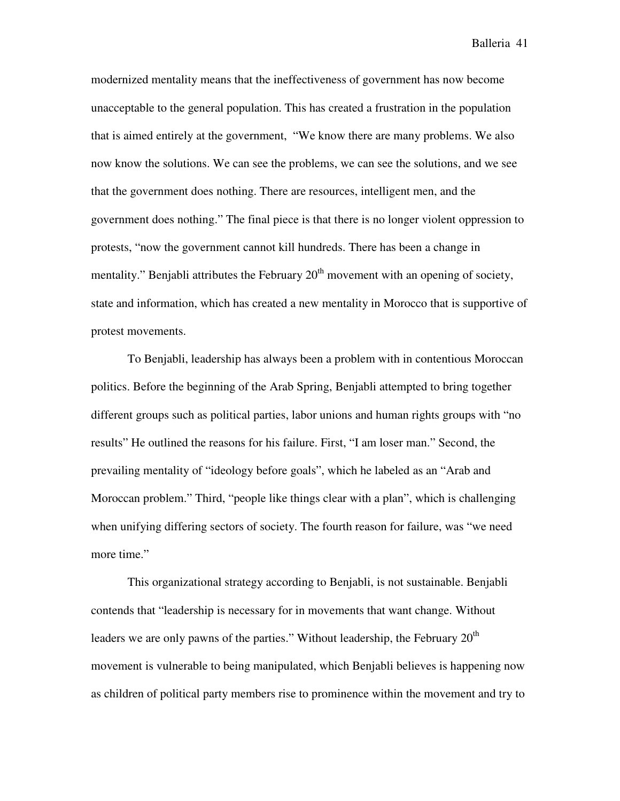modernized mentality means that the ineffectiveness of government has now become unacceptable to the general population. This has created a frustration in the population that is aimed entirely at the government, "We know there are many problems. We also now know the solutions. We can see the problems, we can see the solutions, and we see that the government does nothing. There are resources, intelligent men, and the government does nothing." The final piece is that there is no longer violent oppression to protests, "now the government cannot kill hundreds. There has been a change in mentality." Benjabli attributes the February  $20<sup>th</sup>$  movement with an opening of society, state and information, which has created a new mentality in Morocco that is supportive of protest movements.

To Benjabli, leadership has always been a problem with in contentious Moroccan politics. Before the beginning of the Arab Spring, Benjabli attempted to bring together different groups such as political parties, labor unions and human rights groups with "no results" He outlined the reasons for his failure. First, "I am loser man." Second, the prevailing mentality of "ideology before goals", which he labeled as an "Arab and Moroccan problem." Third, "people like things clear with a plan", which is challenging when unifying differing sectors of society. The fourth reason for failure, was "we need more time."

This organizational strategy according to Benjabli, is not sustainable. Benjabli contends that "leadership is necessary for in movements that want change. Without leaders we are only pawns of the parties." Without leadership, the February  $20<sup>th</sup>$ movement is vulnerable to being manipulated, which Benjabli believes is happening now as children of political party members rise to prominence within the movement and try to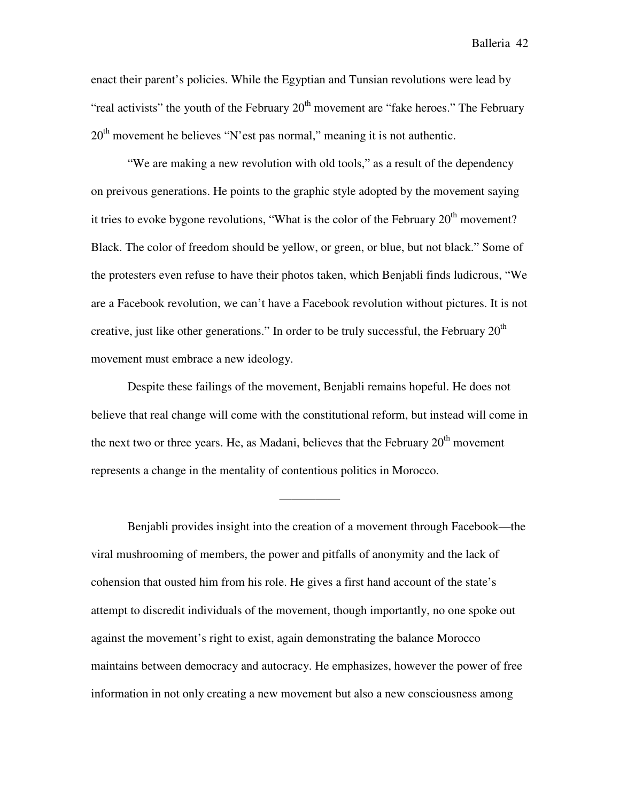enact their parent's policies. While the Egyptian and Tunsian revolutions were lead by "real activists" the youth of the February  $20<sup>th</sup>$  movement are "fake heroes." The February  $20<sup>th</sup>$  movement he believes "N'est pas normal," meaning it is not authentic.

"We are making a new revolution with old tools," as a result of the dependency on preivous generations. He points to the graphic style adopted by the movement saying it tries to evoke bygone revolutions, "What is the color of the February  $20<sup>th</sup>$  movement? Black. The color of freedom should be yellow, or green, or blue, but not black." Some of the protesters even refuse to have their photos taken, which Benjabli finds ludicrous, "We are a Facebook revolution, we can't have a Facebook revolution without pictures. It is not creative, just like other generations." In order to be truly successful, the February  $20<sup>th</sup>$ movement must embrace a new ideology.

Despite these failings of the movement, Benjabli remains hopeful. He does not believe that real change will come with the constitutional reform, but instead will come in the next two or three years. He, as Madani, believes that the February  $20<sup>th</sup>$  movement represents a change in the mentality of contentious politics in Morocco.

—————

Benjabli provides insight into the creation of a movement through Facebook—the viral mushrooming of members, the power and pitfalls of anonymity and the lack of cohension that ousted him from his role. He gives a first hand account of the state's attempt to discredit individuals of the movement, though importantly, no one spoke out against the movement's right to exist, again demonstrating the balance Morocco maintains between democracy and autocracy. He emphasizes, however the power of free information in not only creating a new movement but also a new consciousness among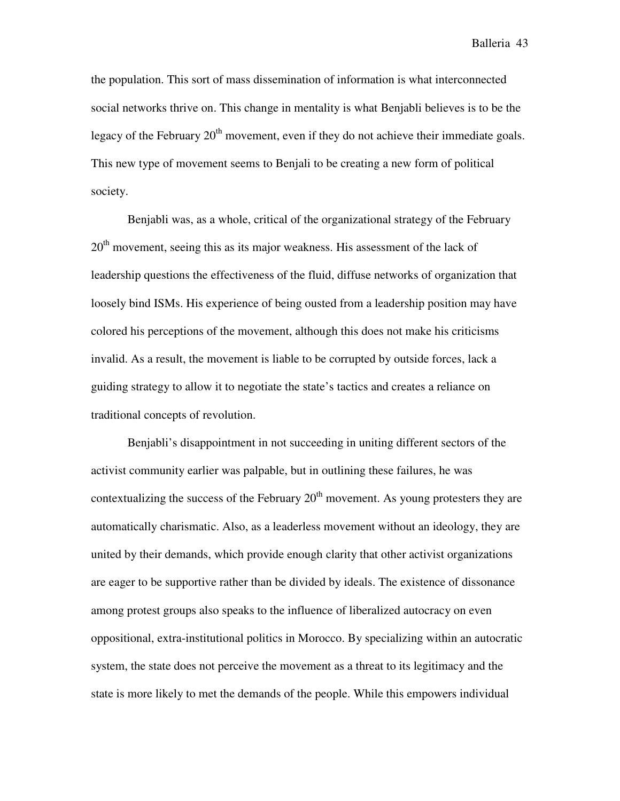the population. This sort of mass dissemination of information is what interconnected social networks thrive on. This change in mentality is what Benjabli believes is to be the legacy of the February  $20<sup>th</sup>$  movement, even if they do not achieve their immediate goals. This new type of movement seems to Benjali to be creating a new form of political society.

Benjabli was, as a whole, critical of the organizational strategy of the February 20<sup>th</sup> movement, seeing this as its major weakness. His assessment of the lack of leadership questions the effectiveness of the fluid, diffuse networks of organization that loosely bind ISMs. His experience of being ousted from a leadership position may have colored his perceptions of the movement, although this does not make his criticisms invalid. As a result, the movement is liable to be corrupted by outside forces, lack a guiding strategy to allow it to negotiate the state's tactics and creates a reliance on traditional concepts of revolution.

Benjabli's disappointment in not succeeding in uniting different sectors of the activist community earlier was palpable, but in outlining these failures, he was contextualizing the success of the February  $20<sup>th</sup>$  movement. As young protesters they are automatically charismatic. Also, as a leaderless movement without an ideology, they are united by their demands, which provide enough clarity that other activist organizations are eager to be supportive rather than be divided by ideals. The existence of dissonance among protest groups also speaks to the influence of liberalized autocracy on even oppositional, extra-institutional politics in Morocco. By specializing within an autocratic system, the state does not perceive the movement as a threat to its legitimacy and the state is more likely to met the demands of the people. While this empowers individual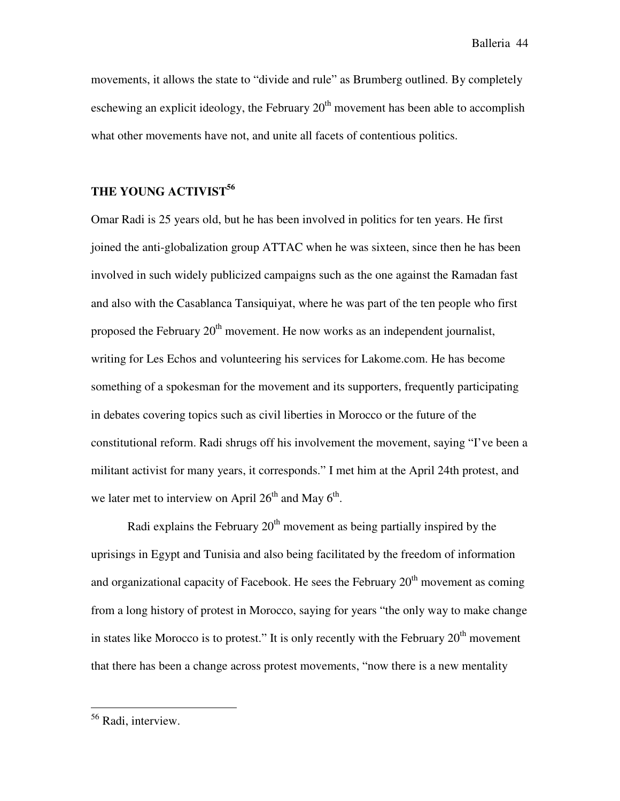movements, it allows the state to "divide and rule" as Brumberg outlined. By completely eschewing an explicit ideology, the February  $20<sup>th</sup>$  movement has been able to accomplish what other movements have not, and unite all facets of contentious politics.

## **THE YOUNG ACTIVIST<sup>56</sup>**

Omar Radi is 25 years old, but he has been involved in politics for ten years. He first joined the anti-globalization group ATTAC when he was sixteen, since then he has been involved in such widely publicized campaigns such as the one against the Ramadan fast and also with the Casablanca Tansiquiyat, where he was part of the ten people who first proposed the February  $20<sup>th</sup>$  movement. He now works as an independent journalist, writing for Les Echos and volunteering his services for Lakome.com. He has become something of a spokesman for the movement and its supporters, frequently participating in debates covering topics such as civil liberties in Morocco or the future of the constitutional reform. Radi shrugs off his involvement the movement, saying "I've been a militant activist for many years, it corresponds." I met him at the April 24th protest, and we later met to interview on April  $26<sup>th</sup>$  and May  $6<sup>th</sup>$ .

Radi explains the February  $20<sup>th</sup>$  movement as being partially inspired by the uprisings in Egypt and Tunisia and also being facilitated by the freedom of information and organizational capacity of Facebook. He sees the February  $20<sup>th</sup>$  movement as coming from a long history of protest in Morocco, saying for years "the only way to make change in states like Morocco is to protest." It is only recently with the February  $20<sup>th</sup>$  movement that there has been a change across protest movements, "now there is a new mentality

<sup>56</sup> Radi, interview.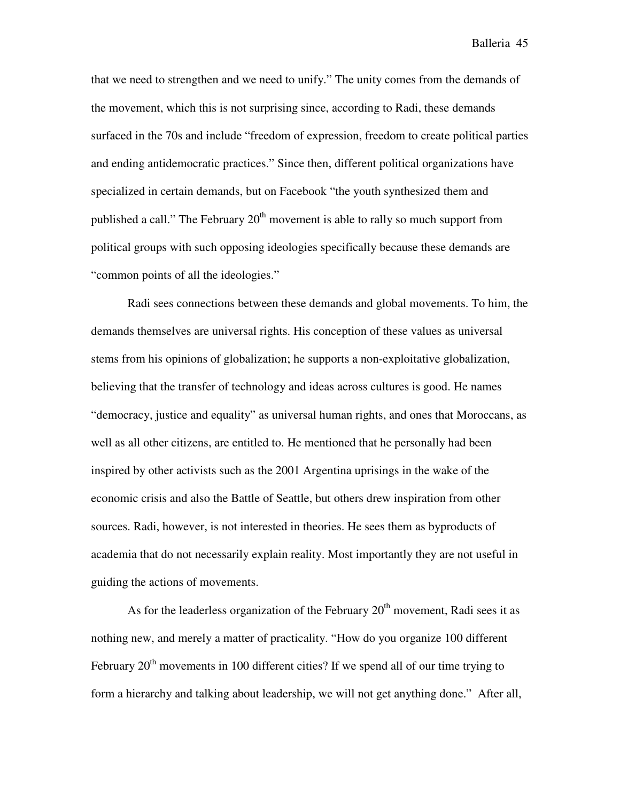that we need to strengthen and we need to unify." The unity comes from the demands of the movement, which this is not surprising since, according to Radi, these demands surfaced in the 70s and include "freedom of expression, freedom to create political parties and ending antidemocratic practices." Since then, different political organizations have specialized in certain demands, but on Facebook "the youth synthesized them and published a call." The February  $20<sup>th</sup>$  movement is able to rally so much support from political groups with such opposing ideologies specifically because these demands are "common points of all the ideologies."

 Radi sees connections between these demands and global movements. To him, the demands themselves are universal rights. His conception of these values as universal stems from his opinions of globalization; he supports a non-exploitative globalization, believing that the transfer of technology and ideas across cultures is good. He names "democracy, justice and equality" as universal human rights, and ones that Moroccans, as well as all other citizens, are entitled to. He mentioned that he personally had been inspired by other activists such as the 2001 Argentina uprisings in the wake of the economic crisis and also the Battle of Seattle, but others drew inspiration from other sources. Radi, however, is not interested in theories. He sees them as byproducts of academia that do not necessarily explain reality. Most importantly they are not useful in guiding the actions of movements.

As for the leaderless organization of the February  $20<sup>th</sup>$  movement, Radi sees it as nothing new, and merely a matter of practicality. "How do you organize 100 different February  $20<sup>th</sup>$  movements in 100 different cities? If we spend all of our time trying to form a hierarchy and talking about leadership, we will not get anything done." After all,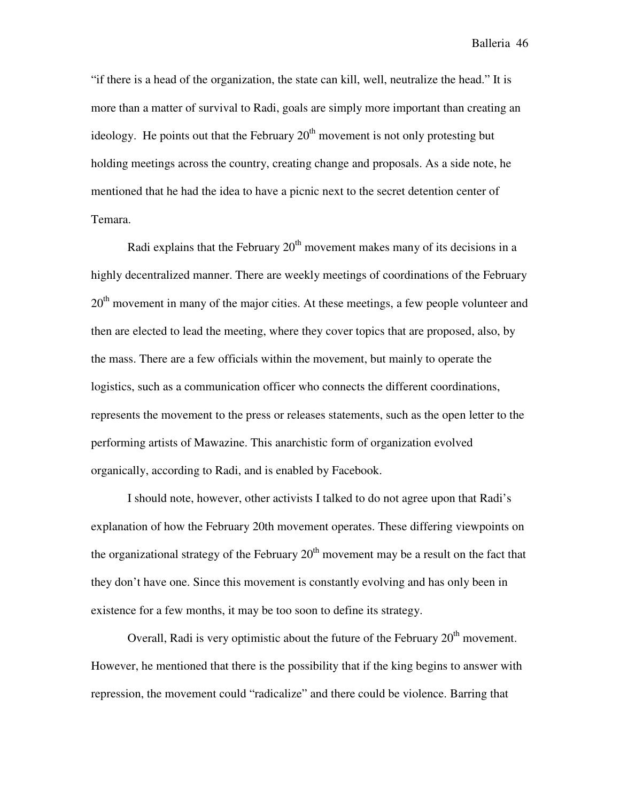"if there is a head of the organization, the state can kill, well, neutralize the head." It is more than a matter of survival to Radi, goals are simply more important than creating an ideology. He points out that the February  $20<sup>th</sup>$  movement is not only protesting but holding meetings across the country, creating change and proposals. As a side note, he mentioned that he had the idea to have a picnic next to the secret detention center of Temara.

Radi explains that the February  $20<sup>th</sup>$  movement makes many of its decisions in a highly decentralized manner. There are weekly meetings of coordinations of the February 20<sup>th</sup> movement in many of the major cities. At these meetings, a few people volunteer and then are elected to lead the meeting, where they cover topics that are proposed, also, by the mass. There are a few officials within the movement, but mainly to operate the logistics, such as a communication officer who connects the different coordinations, represents the movement to the press or releases statements, such as the open letter to the performing artists of Mawazine. This anarchistic form of organization evolved organically, according to Radi, and is enabled by Facebook.

I should note, however, other activists I talked to do not agree upon that Radi's explanation of how the February 20th movement operates. These differing viewpoints on the organizational strategy of the February  $20<sup>th</sup>$  movement may be a result on the fact that they don't have one. Since this movement is constantly evolving and has only been in existence for a few months, it may be too soon to define its strategy.

Overall, Radi is very optimistic about the future of the February  $20<sup>th</sup>$  movement. However, he mentioned that there is the possibility that if the king begins to answer with repression, the movement could "radicalize" and there could be violence. Barring that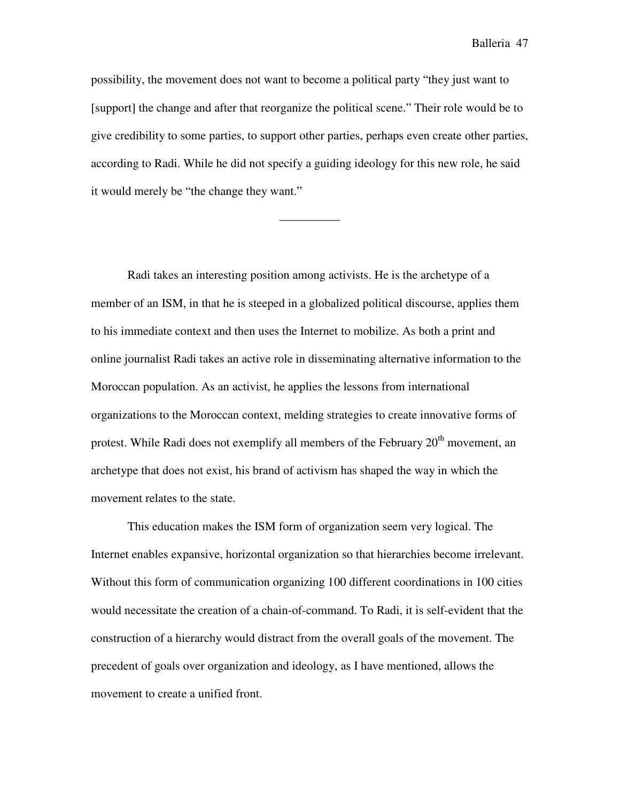possibility, the movement does not want to become a political party "they just want to [support] the change and after that reorganize the political scene." Their role would be to give credibility to some parties, to support other parties, perhaps even create other parties, according to Radi. While he did not specify a guiding ideology for this new role, he said it would merely be "the change they want."

—————

Radi takes an interesting position among activists. He is the archetype of a member of an ISM, in that he is steeped in a globalized political discourse, applies them to his immediate context and then uses the Internet to mobilize. As both a print and online journalist Radi takes an active role in disseminating alternative information to the Moroccan population. As an activist, he applies the lessons from international organizations to the Moroccan context, melding strategies to create innovative forms of protest. While Radi does not exemplify all members of the February  $20<sup>th</sup>$  movement, an archetype that does not exist, his brand of activism has shaped the way in which the movement relates to the state.

This education makes the ISM form of organization seem very logical. The Internet enables expansive, horizontal organization so that hierarchies become irrelevant. Without this form of communication organizing 100 different coordinations in 100 cities would necessitate the creation of a chain-of-command. To Radi, it is self-evident that the construction of a hierarchy would distract from the overall goals of the movement. The precedent of goals over organization and ideology, as I have mentioned, allows the movement to create a unified front.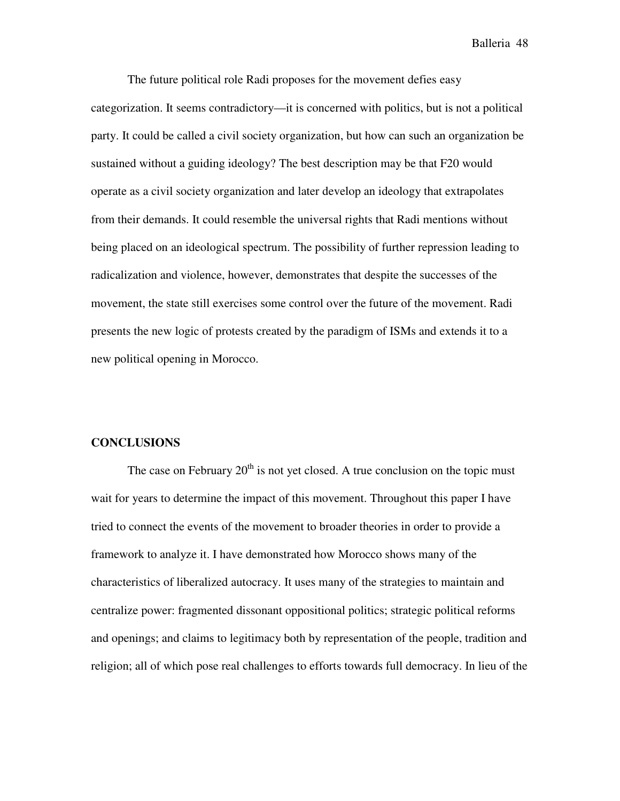The future political role Radi proposes for the movement defies easy categorization. It seems contradictory—it is concerned with politics, but is not a political party. It could be called a civil society organization, but how can such an organization be sustained without a guiding ideology? The best description may be that F20 would operate as a civil society organization and later develop an ideology that extrapolates from their demands. It could resemble the universal rights that Radi mentions without being placed on an ideological spectrum. The possibility of further repression leading to radicalization and violence, however, demonstrates that despite the successes of the movement, the state still exercises some control over the future of the movement. Radi presents the new logic of protests created by the paradigm of ISMs and extends it to a new political opening in Morocco.

#### **CONCLUSIONS**

The case on February  $20<sup>th</sup>$  is not yet closed. A true conclusion on the topic must wait for years to determine the impact of this movement. Throughout this paper I have tried to connect the events of the movement to broader theories in order to provide a framework to analyze it. I have demonstrated how Morocco shows many of the characteristics of liberalized autocracy. It uses many of the strategies to maintain and centralize power: fragmented dissonant oppositional politics; strategic political reforms and openings; and claims to legitimacy both by representation of the people, tradition and religion; all of which pose real challenges to efforts towards full democracy. In lieu of the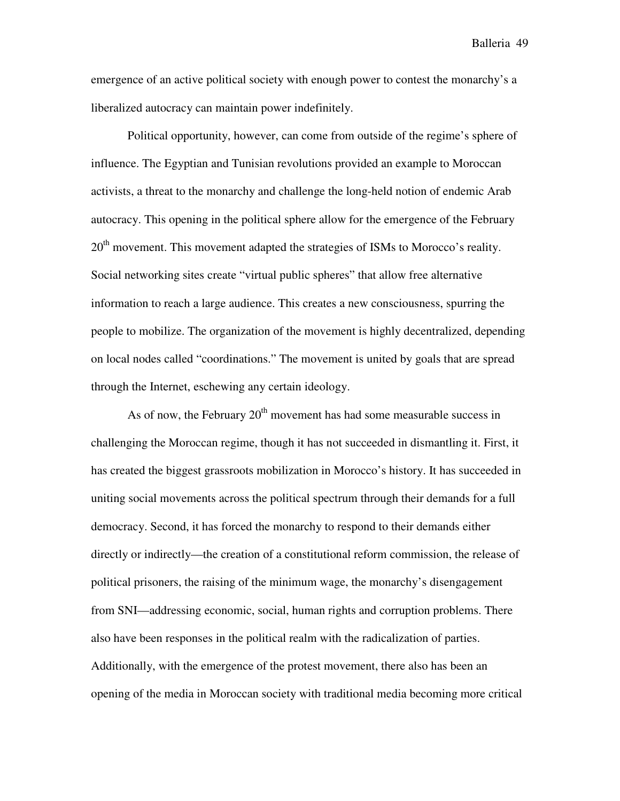emergence of an active political society with enough power to contest the monarchy's a liberalized autocracy can maintain power indefinitely.

Political opportunity, however, can come from outside of the regime's sphere of influence. The Egyptian and Tunisian revolutions provided an example to Moroccan activists, a threat to the monarchy and challenge the long-held notion of endemic Arab autocracy. This opening in the political sphere allow for the emergence of the February  $20<sup>th</sup>$  movement. This movement adapted the strategies of ISMs to Morocco's reality. Social networking sites create "virtual public spheres" that allow free alternative information to reach a large audience. This creates a new consciousness, spurring the people to mobilize. The organization of the movement is highly decentralized, depending on local nodes called "coordinations." The movement is united by goals that are spread through the Internet, eschewing any certain ideology.

As of now, the February  $20<sup>th</sup>$  movement has had some measurable success in challenging the Moroccan regime, though it has not succeeded in dismantling it. First, it has created the biggest grassroots mobilization in Morocco's history. It has succeeded in uniting social movements across the political spectrum through their demands for a full democracy. Second, it has forced the monarchy to respond to their demands either directly or indirectly—the creation of a constitutional reform commission, the release of political prisoners, the raising of the minimum wage, the monarchy's disengagement from SNI—addressing economic, social, human rights and corruption problems. There also have been responses in the political realm with the radicalization of parties. Additionally, with the emergence of the protest movement, there also has been an opening of the media in Moroccan society with traditional media becoming more critical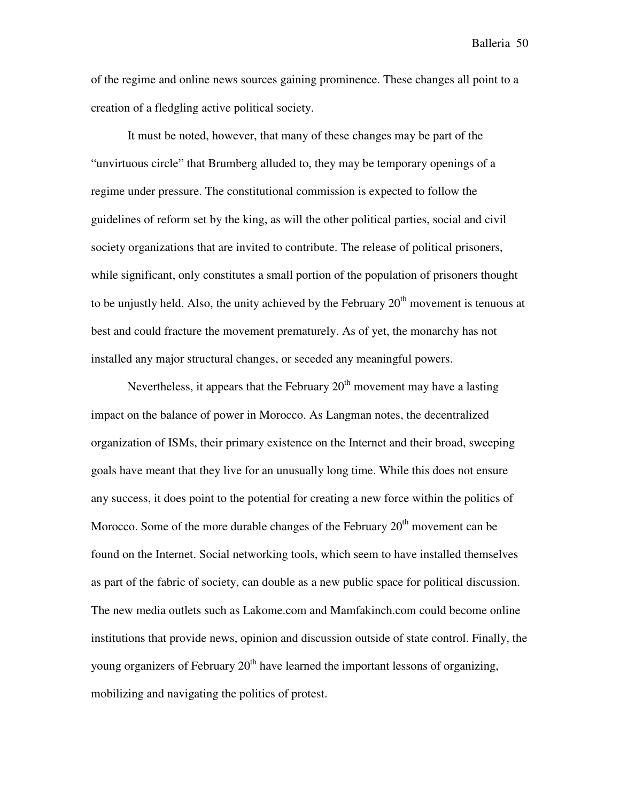of the regime and online news sources gaining prominence. These changes all point to a creation of a fledgling active political society.

It must be noted, however, that many of these changes may be part of the "unvirtuous circle" that Brumberg alluded to, they may be temporary openings of a regime under pressure. The constitutional commission is expected to follow the guidelines of reform set by the king, as will the other political parties, social and civil society organizations that are invited to contribute. The release of political prisoners, while significant, only constitutes a small portion of the population of prisoners thought to be unjustly held. Also, the unity achieved by the February  $20<sup>th</sup>$  movement is tenuous at best and could fracture the movement prematurely. As of yet, the monarchy has not installed any major structural changes, or seceded any meaningful powers.

Nevertheless, it appears that the February  $20<sup>th</sup>$  movement may have a lasting impact on the balance of power in Morocco. As Langman notes, the decentralized organization of ISMs, their primary existence on the Internet and their broad, sweeping goals have meant that they live for an unusually long time. While this does not ensure any success, it does point to the potential for creating a new force within the politics of Morocco. Some of the more durable changes of the February  $20<sup>th</sup>$  movement can be found on the Internet. Social networking tools, which seem to have installed themselves as part of the fabric of society, can double as a new public space for political discussion. The new media outlets such as Lakome.com and Mamfakinch.com could become online institutions that provide news, opinion and discussion outside of state control. Finally, the young organizers of February  $20<sup>th</sup>$  have learned the important lessons of organizing, mobilizing and navigating the politics of protest.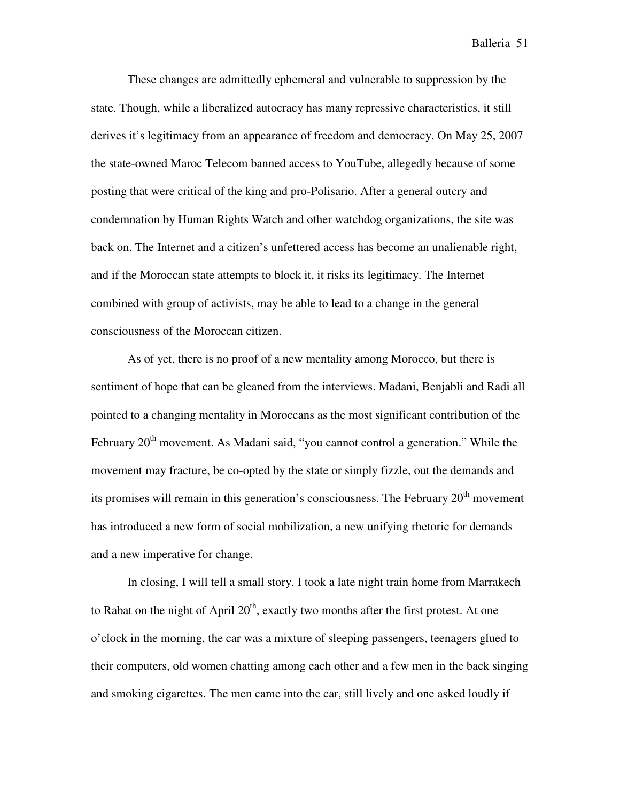These changes are admittedly ephemeral and vulnerable to suppression by the state. Though, while a liberalized autocracy has many repressive characteristics, it still derives it's legitimacy from an appearance of freedom and democracy. On May 25, 2007 the state-owned Maroc Telecom banned access to YouTube, allegedly because of some posting that were critical of the king and pro-Polisario. After a general outcry and condemnation by Human Rights Watch and other watchdog organizations, the site was back on. The Internet and a citizen's unfettered access has become an unalienable right, and if the Moroccan state attempts to block it, it risks its legitimacy. The Internet combined with group of activists, may be able to lead to a change in the general consciousness of the Moroccan citizen.

As of yet, there is no proof of a new mentality among Morocco, but there is sentiment of hope that can be gleaned from the interviews. Madani, Benjabli and Radi all pointed to a changing mentality in Moroccans as the most significant contribution of the February  $20<sup>th</sup>$  movement. As Madani said, "you cannot control a generation." While the movement may fracture, be co-opted by the state or simply fizzle, out the demands and its promises will remain in this generation's consciousness. The February  $20<sup>th</sup>$  movement has introduced a new form of social mobilization, a new unifying rhetoric for demands and a new imperative for change.

 In closing, I will tell a small story. I took a late night train home from Marrakech to Rabat on the night of April  $20<sup>th</sup>$ , exactly two months after the first protest. At one o'clock in the morning, the car was a mixture of sleeping passengers, teenagers glued to their computers, old women chatting among each other and a few men in the back singing and smoking cigarettes. The men came into the car, still lively and one asked loudly if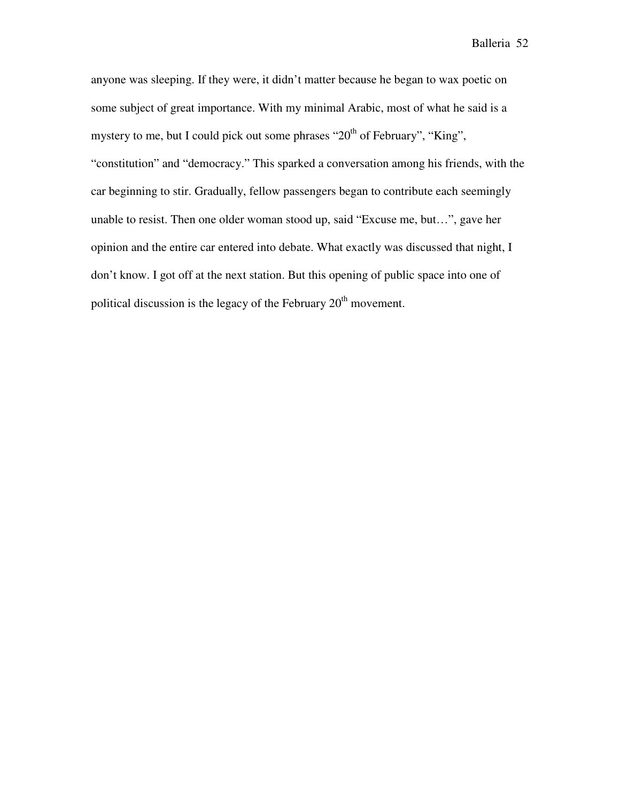anyone was sleeping. If they were, it didn't matter because he began to wax poetic on some subject of great importance. With my minimal Arabic, most of what he said is a mystery to me, but I could pick out some phrases " $20<sup>th</sup>$  of February", "King", "constitution" and "democracy." This sparked a conversation among his friends, with the car beginning to stir. Gradually, fellow passengers began to contribute each seemingly unable to resist. Then one older woman stood up, said "Excuse me, but…", gave her opinion and the entire car entered into debate. What exactly was discussed that night, I don't know. I got off at the next station. But this opening of public space into one of political discussion is the legacy of the February  $20<sup>th</sup>$  movement.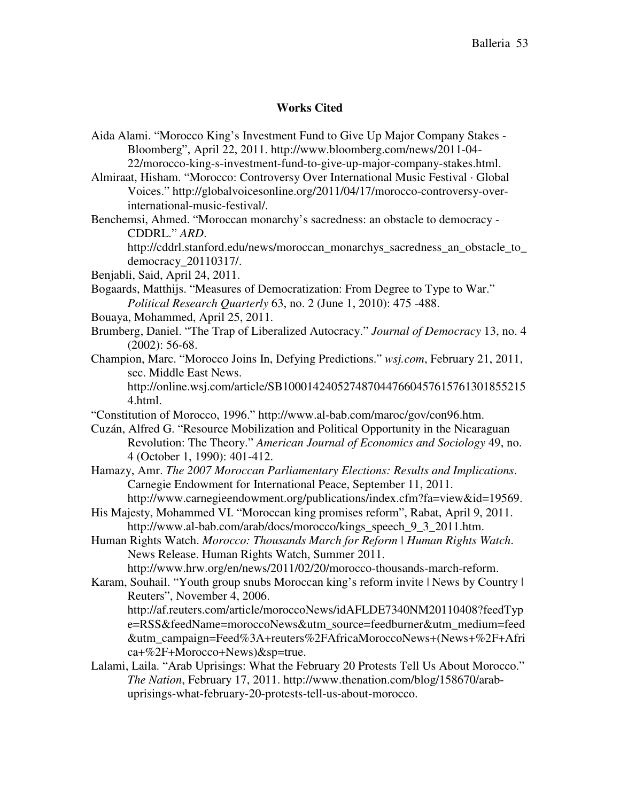# **Works Cited**

| Aida Alami. "Morocco King's Investment Fund to Give Up Major Company Stakes -         |
|---------------------------------------------------------------------------------------|
| Bloomberg", April 22, 2011. http://www.bloomberg.com/news/2011-04-                    |
| 22/morocco-king-s-investment-fund-to-give-up-major-company-stakes.html.               |
| Almiraat, Hisham. "Morocco: Controversy Over International Music Festival · Global    |
| Voices." http://globalvoicesonline.org/2011/04/17/morocco-controversy-over-           |
| international-music-festival/.                                                        |
| Benchemsi, Ahmed. "Moroccan monarchy's sacredness: an obstacle to democracy -         |
| CDDRL." ARD.                                                                          |
| http://cddrl.stanford.edu/news/moroccan_monarchys_sacredness_an_obstacle_to_          |
| democracy_20110317/.                                                                  |
| Benjabli, Said, April 24, 2011.                                                       |
| Bogaards, Matthijs. "Measures of Democratization: From Degree to Type to War."        |
| Political Research Quarterly 63, no. 2 (June 1, 2010): 475 -488.                      |
| Bouaya, Mohammed, April 25, 2011.                                                     |
| Brumberg, Daniel. "The Trap of Liberalized Autocracy." Journal of Democracy 13, no. 4 |
| $(2002): 56-68.$                                                                      |
| Champion, Marc. "Morocco Joins In, Defying Predictions." wsj.com, February 21, 2011,  |
| sec. Middle East News.                                                                |
| http://online.wsj.com/article/SB1000142405274870447660457615761301855215              |
| 4.html.                                                                               |
| "Constitution of Morocco, 1996." http://www.al-bab.com/maroc/gov/con96.htm.           |
| Cuzán, Alfred G. "Resource Mobilization and Political Opportunity in the Nicaraguan   |
| Revolution: The Theory." American Journal of Economics and Sociology 49, no.          |
| 4 (October 1, 1990): 401-412.                                                         |
| Hamazy, Amr. The 2007 Moroccan Parliamentary Elections: Results and Implications.     |
| Carnegie Endowment for International Peace, September 11, 2011.                       |
| http://www.carnegieendowment.org/publications/index.cfm?fa=view&id=19569.             |
| His Majesty, Mohammed VI. "Moroccan king promises reform", Rabat, April 9, 2011.      |
| http://www.al-bab.com/arab/docs/morocco/kings_speech_9_3_2011.htm.                    |
| Human Rights Watch. Morocco: Thousands March for Reform   Human Rights Watch.         |
| News Release. Human Rights Watch, Summer 2011.                                        |
| http://www.hrw.org/en/news/2011/02/20/morocco-thousands-march-reform.                 |
| Karam, Souhail. "Youth group snubs Moroccan king's reform invite   News by Country    |
| Reuters", November 4, 2006.                                                           |
| http://af.reuters.com/article/moroccoNews/idAFLDE7340NM20110408?feedTyp               |
| e=RSS&feedName=moroccoNews&utm_source=feedburner&utm_medium=feed                      |
| &utm_campaign=Feed%3A+reuters%2FAfricaMoroccoNews+(News+%2F+Afri                      |
| ca+%2F+Morocco+News)&sp=true.                                                         |
| Lalami, Laila. "Arab Uprisings: What the February 20 Protests Tell Us About Morocco." |
| The Nation, February 17, 2011. http://www.thenation.com/blog/158670/arab-             |
| uprisings-what-february-20-protests-tell-us-about-morocco.                            |
|                                                                                       |
|                                                                                       |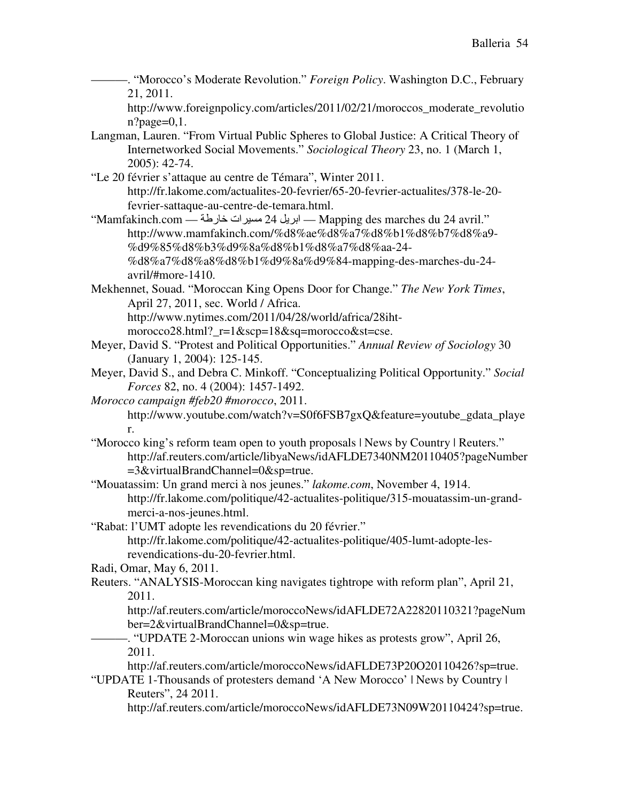———. "Morocco's Moderate Revolution." *Foreign Policy*. Washington D.C., February 21, 2011.

http://www.foreignpolicy.com/articles/2011/02/21/moroccos\_moderate\_revolutio  $n?page=0,1.$ 

- Langman, Lauren. "From Virtual Public Spheres to Global Justice: A Critical Theory of Internetworked Social Movements." *Sociological Theory* 23, no. 1 (March 1, 2005): 42-74.
- "Le 20 février s'attaque au centre de Témara", Winter 2011. http://fr.lakome.com/actualites-20-fevrier/65-20-fevrier-actualites/378-le-20 fevrier-sattaque-au-centre-de-temara.html.
- "Mamfakinch.com ابريل 24 مسيرات خارطة Mapping des marches du 24 avril." http://www.mamfakinch.com/%d8%ae%d8%a7%d8%b1%d8%b7%d8%a9- %d9%85%d8%b3%d9%8a%d8%b1%d8%a7%d8%aa-24- %d8%a7%d8%a8%d8%b1%d9%8a%d9%84-mapping-des-marches-du-24 avril/#more-1410.
- Mekhennet, Souad. "Moroccan King Opens Door for Change." *The New York Times*, April 27, 2011, sec. World / Africa. http://www.nytimes.com/2011/04/28/world/africa/28ihtmorocco28.html?\_r=1&scp=18&sq=morocco&st=cse.
- Meyer, David S. "Protest and Political Opportunities." *Annual Review of Sociology* 30 (January 1, 2004): 125-145.
- Meyer, David S., and Debra C. Minkoff. "Conceptualizing Political Opportunity." *Social Forces* 82, no. 4 (2004): 1457-1492.
- *Morocco campaign #feb20 #morocco*, 2011. http://www.youtube.com/watch?v=S0f6FSB7gxQ&feature=youtube\_gdata\_playe r.
- "Morocco king's reform team open to youth proposals | News by Country | Reuters." http://af.reuters.com/article/libyaNews/idAFLDE7340NM20110405?pageNumber =3&virtualBrandChannel=0&sp=true.
- "Mouatassim: Un grand merci à nos jeunes." *lakome.com*, November 4, 1914. http://fr.lakome.com/politique/42-actualites-politique/315-mouatassim-un-grandmerci-a-nos-jeunes.html.
- "Rabat: l'UMT adopte les revendications du 20 février." http://fr.lakome.com/politique/42-actualites-politique/405-lumt-adopte-lesrevendications-du-20-fevrier.html.

Radi, Omar, May 6, 2011.

- Reuters. "ANALYSIS-Moroccan king navigates tightrope with reform plan", April 21, 2011.
	- http://af.reuters.com/article/moroccoNews/idAFLDE72A22820110321?pageNum ber=2&virtualBrandChannel=0&sp=true.
	- -. "UPDATE 2-Moroccan unions win wage hikes as protests grow", April 26, 2011.
	- http://af.reuters.com/article/moroccoNews/idAFLDE73P20O20110426?sp=true.
- "UPDATE 1-Thousands of protesters demand 'A New Morocco' | News by Country | Reuters", 24 2011.
	- http://af.reuters.com/article/moroccoNews/idAFLDE73N09W20110424?sp=true.